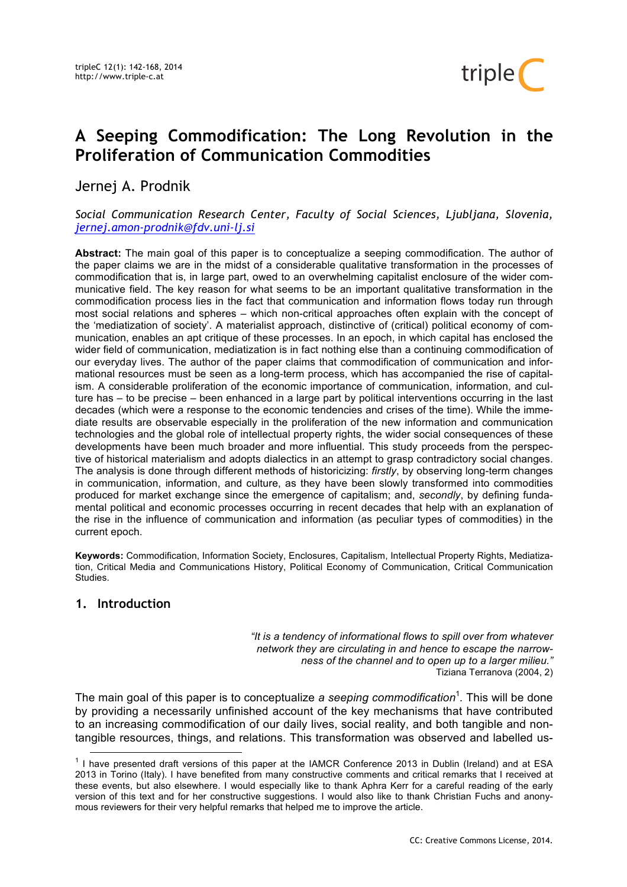

# **A Seeping Commodification: The Long Revolution in the Proliferation of Communication Commodities**

# Jernej A. Prodnik

*Social Communication Research Center, Faculty of Social Sciences, Ljubljana, Slovenia, jernej.amon-prodnik@fdv.uni-lj.si*

**Abstract:** The main goal of this paper is to conceptualize a seeping commodification. The author of the paper claims we are in the midst of a considerable qualitative transformation in the processes of commodification that is, in large part, owed to an overwhelming capitalist enclosure of the wider communicative field. The key reason for what seems to be an important qualitative transformation in the commodification process lies in the fact that communication and information flows today run through most social relations and spheres – which non-critical approaches often explain with the concept of the 'mediatization of society'. A materialist approach, distinctive of (critical) political economy of communication, enables an apt critique of these processes. In an epoch, in which capital has enclosed the wider field of communication, mediatization is in fact nothing else than a continuing commodification of our everyday lives. The author of the paper claims that commodification of communication and informational resources must be seen as a long-term process, which has accompanied the rise of capitalism. A considerable proliferation of the economic importance of communication, information, and culture has – to be precise – been enhanced in a large part by political interventions occurring in the last decades (which were a response to the economic tendencies and crises of the time). While the immediate results are observable especially in the proliferation of the new information and communication technologies and the global role of intellectual property rights, the wider social consequences of these developments have been much broader and more influential. This study proceeds from the perspective of historical materialism and adopts dialectics in an attempt to grasp contradictory social changes. The analysis is done through different methods of historicizing: *firstly*, by observing long-term changes in communication, information, and culture, as they have been slowly transformed into commodities produced for market exchange since the emergence of capitalism; and, *secondly*, by defining fundamental political and economic processes occurring in recent decades that help with an explanation of the rise in the influence of communication and information (as peculiar types of commodities) in the current epoch.

**Keywords:** Commodification, Information Society, Enclosures, Capitalism, Intellectual Property Rights, Mediatization, Critical Media and Communications History, Political Economy of Communication, Critical Communication Studies.

### **1. Introduction**

*"It is a tendency of informational flows to spill over from whatever network they are circulating in and hence to escape the narrowness of the channel and to open up to a larger milieu."* Tiziana Terranova (2004, 2)

The main goal of this paper is to conceptualize a seeping commodification<sup>1</sup>. This will be done by providing a necessarily unfinished account of the key mechanisms that have contributed to an increasing commodification of our daily lives, social reality, and both tangible and nontangible resources, things, and relations. This transformation was observed and labelled us-

 <sup>1</sup> I have presented draft versions of this paper at the IAMCR Conference 2013 in Dublin (Ireland) and at ESA 2013 in Torino (Italy). I have benefited from many constructive comments and critical remarks that I received at these events, but also elsewhere. I would especially like to thank Aphra Kerr for a careful reading of the early version of this text and for her constructive suggestions. I would also like to thank Christian Fuchs and anonymous reviewers for their very helpful remarks that helped me to improve the article.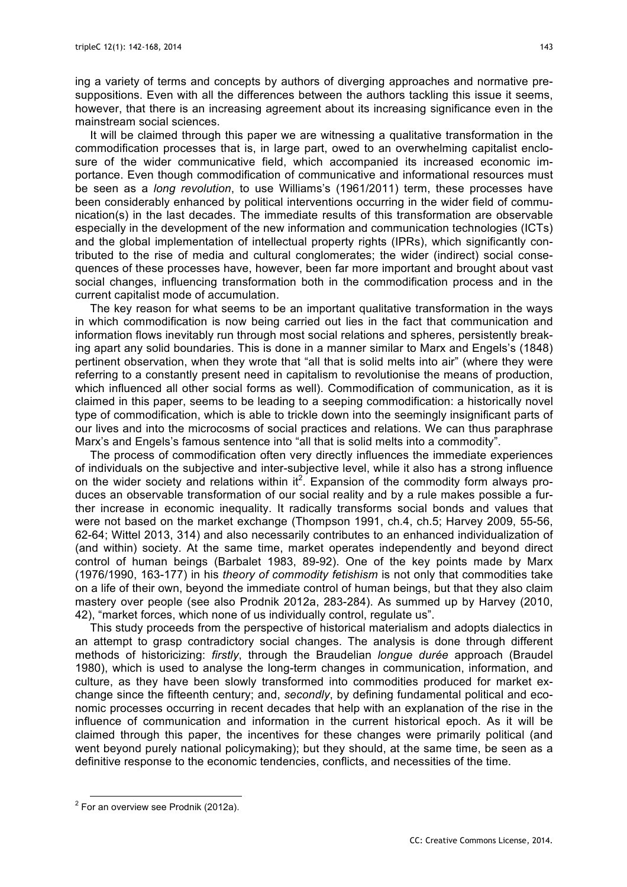ing a variety of terms and concepts by authors of diverging approaches and normative presuppositions. Even with all the differences between the authors tackling this issue it seems, however, that there is an increasing agreement about its increasing significance even in the mainstream social sciences.

It will be claimed through this paper we are witnessing a qualitative transformation in the commodification processes that is, in large part, owed to an overwhelming capitalist enclosure of the wider communicative field, which accompanied its increased economic importance. Even though commodification of communicative and informational resources must be seen as a *long revolution*, to use Williams's (1961/2011) term, these processes have been considerably enhanced by political interventions occurring in the wider field of communication(s) in the last decades. The immediate results of this transformation are observable especially in the development of the new information and communication technologies (ICTs) and the global implementation of intellectual property rights (IPRs), which significantly contributed to the rise of media and cultural conglomerates; the wider (indirect) social consequences of these processes have, however, been far more important and brought about vast social changes, influencing transformation both in the commodification process and in the current capitalist mode of accumulation.

The key reason for what seems to be an important qualitative transformation in the ways in which commodification is now being carried out lies in the fact that communication and information flows inevitably run through most social relations and spheres, persistently breaking apart any solid boundaries. This is done in a manner similar to Marx and Engels's (1848) pertinent observation, when they wrote that "all that is solid melts into air" (where they were referring to a constantly present need in capitalism to revolutionise the means of production, which influenced all other social forms as well). Commodification of communication, as it is claimed in this paper, seems to be leading to a seeping commodification: a historically novel type of commodification, which is able to trickle down into the seemingly insignificant parts of our lives and into the microcosms of social practices and relations. We can thus paraphrase Marx's and Engels's famous sentence into "all that is solid melts into a commodity".

The process of commodification often very directly influences the immediate experiences of individuals on the subjective and inter-subjective level, while it also has a strong influence on the wider society and relations within it<sup>2</sup>. Expansion of the commodity form always produces an observable transformation of our social reality and by a rule makes possible a further increase in economic inequality. It radically transforms social bonds and values that were not based on the market exchange (Thompson 1991, ch.4, ch.5; Harvey 2009, 55-56, 62-64; Wittel 2013, 314) and also necessarily contributes to an enhanced individualization of (and within) society. At the same time, market operates independently and beyond direct control of human beings (Barbalet 1983, 89-92). One of the key points made by Marx (1976/1990, 163-177) in his *theory of commodity fetishism* is not only that commodities take on a life of their own, beyond the immediate control of human beings, but that they also claim mastery over people (see also Prodnik 2012a, 283-284). As summed up by Harvey (2010, 42), "market forces, which none of us individually control, regulate us".

This study proceeds from the perspective of historical materialism and adopts dialectics in an attempt to grasp contradictory social changes. The analysis is done through different methods of historicizing: *firstly*, through the Braudelian *longue durée* approach (Braudel 1980), which is used to analyse the long-term changes in communication, information, and culture, as they have been slowly transformed into commodities produced for market exchange since the fifteenth century; and, *secondly*, by defining fundamental political and economic processes occurring in recent decades that help with an explanation of the rise in the influence of communication and information in the current historical epoch. As it will be claimed through this paper, the incentives for these changes were primarily political (and went beyond purely national policymaking); but they should, at the same time, be seen as a definitive response to the economic tendencies, conflicts, and necessities of the time.

 $2$  For an overview see Prodnik (2012a).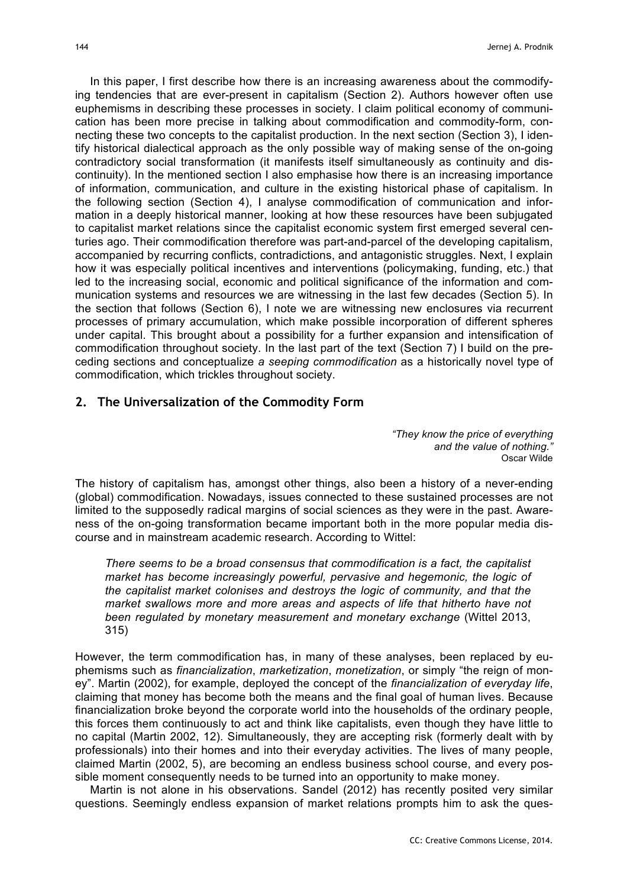In this paper, I first describe how there is an increasing awareness about the commodifying tendencies that are ever-present in capitalism (Section 2). Authors however often use euphemisms in describing these processes in society. I claim political economy of communication has been more precise in talking about commodification and commodity-form, connecting these two concepts to the capitalist production. In the next section (Section 3), I identify historical dialectical approach as the only possible way of making sense of the on-going contradictory social transformation (it manifests itself simultaneously as continuity and discontinuity). In the mentioned section I also emphasise how there is an increasing importance of information, communication, and culture in the existing historical phase of capitalism. In the following section (Section 4), I analyse commodification of communication and information in a deeply historical manner, looking at how these resources have been subjugated to capitalist market relations since the capitalist economic system first emerged several centuries ago. Their commodification therefore was part-and-parcel of the developing capitalism, accompanied by recurring conflicts, contradictions, and antagonistic struggles. Next, I explain how it was especially political incentives and interventions (policymaking, funding, etc.) that led to the increasing social, economic and political significance of the information and communication systems and resources we are witnessing in the last few decades (Section 5). In the section that follows (Section 6), I note we are witnessing new enclosures via recurrent processes of primary accumulation, which make possible incorporation of different spheres under capital. This brought about a possibility for a further expansion and intensification of commodification throughout society. In the last part of the text (Section 7) I build on the preceding sections and conceptualize *a seeping commodification* as a historically novel type of commodification, which trickles throughout society.

#### **2. The Universalization of the Commodity Form**

*"They know the price of everything and the value of nothing."* Oscar Wilde

The history of capitalism has, amongst other things, also been a history of a never-ending (global) commodification. Nowadays, issues connected to these sustained processes are not limited to the supposedly radical margins of social sciences as they were in the past. Awareness of the on-going transformation became important both in the more popular media discourse and in mainstream academic research. According to Wittel:

*There seems to be a broad consensus that commodification is a fact, the capitalist market has become increasingly powerful, pervasive and hegemonic, the logic of the capitalist market colonises and destroys the logic of community, and that the market swallows more and more areas and aspects of life that hitherto have not been regulated by monetary measurement and monetary exchange* (Wittel 2013, 315)

However, the term commodification has, in many of these analyses, been replaced by euphemisms such as *financialization*, *marketization*, *monetization*, or simply "the reign of money". Martin (2002), for example, deployed the concept of the *financialization of everyday life*, claiming that money has become both the means and the final goal of human lives. Because financialization broke beyond the corporate world into the households of the ordinary people, this forces them continuously to act and think like capitalists, even though they have little to no capital (Martin 2002, 12). Simultaneously, they are accepting risk (formerly dealt with by professionals) into their homes and into their everyday activities. The lives of many people, claimed Martin (2002, 5), are becoming an endless business school course, and every possible moment consequently needs to be turned into an opportunity to make money.

Martin is not alone in his observations. Sandel (2012) has recently posited very similar questions. Seemingly endless expansion of market relations prompts him to ask the ques-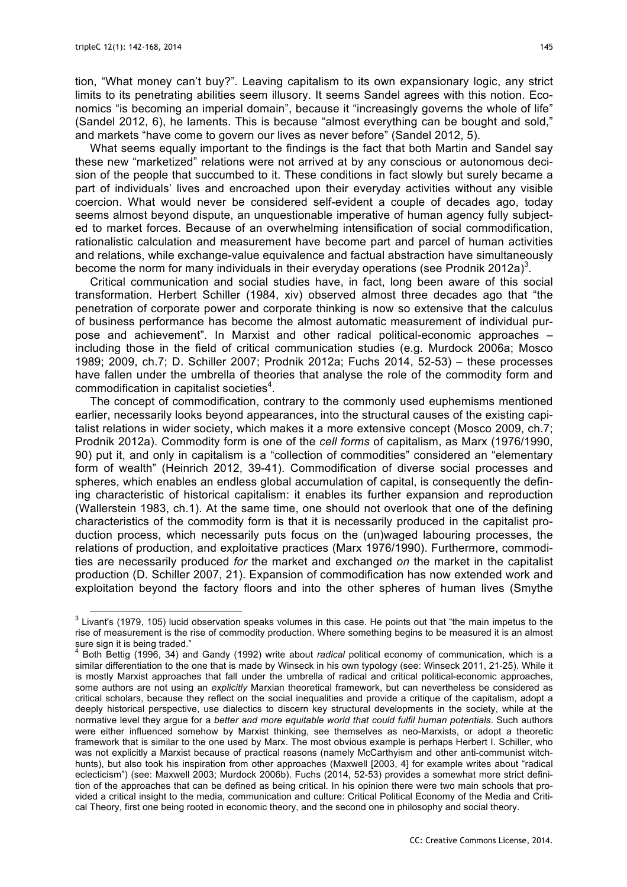tion, "What money can't buy?". Leaving capitalism to its own expansionary logic, any strict limits to its penetrating abilities seem illusory. It seems Sandel agrees with this notion. Economics "is becoming an imperial domain", because it "increasingly governs the whole of life" (Sandel 2012, 6), he laments. This is because "almost everything can be bought and sold," and markets "have come to govern our lives as never before" (Sandel 2012, 5).

What seems equally important to the findings is the fact that both Martin and Sandel say these new "marketized" relations were not arrived at by any conscious or autonomous decision of the people that succumbed to it. These conditions in fact slowly but surely became a part of individuals' lives and encroached upon their everyday activities without any visible coercion. What would never be considered self-evident a couple of decades ago, today seems almost beyond dispute, an unquestionable imperative of human agency fully subjected to market forces. Because of an overwhelming intensification of social commodification, rationalistic calculation and measurement have become part and parcel of human activities and relations, while exchange-value equivalence and factual abstraction have simultaneously become the norm for many individuals in their everyday operations (see Prodnik 2012a)<sup>3</sup>.

Critical communication and social studies have, in fact, long been aware of this social transformation. Herbert Schiller (1984, xiv) observed almost three decades ago that "the penetration of corporate power and corporate thinking is now so extensive that the calculus of business performance has become the almost automatic measurement of individual purpose and achievement". In Marxist and other radical political-economic approaches – including those in the field of critical communication studies (e.g. Murdock 2006a; Mosco 1989; 2009, ch.7; D. Schiller 2007; Prodnik 2012a; Fuchs 2014, 52-53) – these processes have fallen under the umbrella of theories that analyse the role of the commodity form and commodification in capitalist societies<sup>4</sup>.

The concept of commodification, contrary to the commonly used euphemisms mentioned earlier, necessarily looks beyond appearances, into the structural causes of the existing capitalist relations in wider society, which makes it a more extensive concept (Mosco 2009, ch.7; Prodnik 2012a). Commodity form is one of the *cell forms* of capitalism, as Marx (1976/1990, 90) put it, and only in capitalism is a "collection of commodities" considered an "elementary form of wealth" (Heinrich 2012, 39-41). Commodification of diverse social processes and spheres, which enables an endless global accumulation of capital, is consequently the defining characteristic of historical capitalism: it enables its further expansion and reproduction (Wallerstein 1983, ch.1). At the same time, one should not overlook that one of the defining characteristics of the commodity form is that it is necessarily produced in the capitalist production process, which necessarily puts focus on the (un)waged labouring processes, the relations of production, and exploitative practices (Marx 1976/1990). Furthermore, commodities are necessarily produced *for* the market and exchanged *on* the market in the capitalist production (D. Schiller 2007, 21). Expansion of commodification has now extended work and exploitation beyond the factory floors and into the other spheres of human lives (Smythe

 $3$  Livant's (1979, 105) lucid observation speaks volumes in this case. He points out that "the main impetus to the rise of measurement is the rise of commodity production. Where something begins to be measured it is an almost sure sign it is being traded."<br><sup>4</sup> Both Bettig (1996, 34) and Gandy (1992) write about *radical* political economy of communication, which is a

similar differentiation to the one that is made by Winseck in his own typology (see: Winseck 2011, 21-25). While it is mostly Marxist approaches that fall under the umbrella of radical and critical political-economic approaches, some authors are not using an *explicitly* Marxian theoretical framework, but can nevertheless be considered as critical scholars, because they reflect on the social inequalities and provide a critique of the capitalism, adopt a deeply historical perspective, use dialectics to discern key structural developments in the society, while at the normative level they argue for a *better and more equitable world that could fulfil human potentials*. Such authors were either influenced somehow by Marxist thinking, see themselves as neo-Marxists, or adopt a theoretic framework that is similar to the one used by Marx. The most obvious example is perhaps Herbert I. Schiller, who was not explicitly a Marxist because of practical reasons (namely McCarthyism and other anti-communist witchhunts), but also took his inspiration from other approaches (Maxwell [2003, 4] for example writes about "radical eclecticism") (see: Maxwell 2003; Murdock 2006b). Fuchs (2014, 52-53) provides a somewhat more strict definition of the approaches that can be defined as being critical. In his opinion there were two main schools that provided a critical insight to the media, communication and culture: Critical Political Economy of the Media and Critical Theory, first one being rooted in economic theory, and the second one in philosophy and social theory.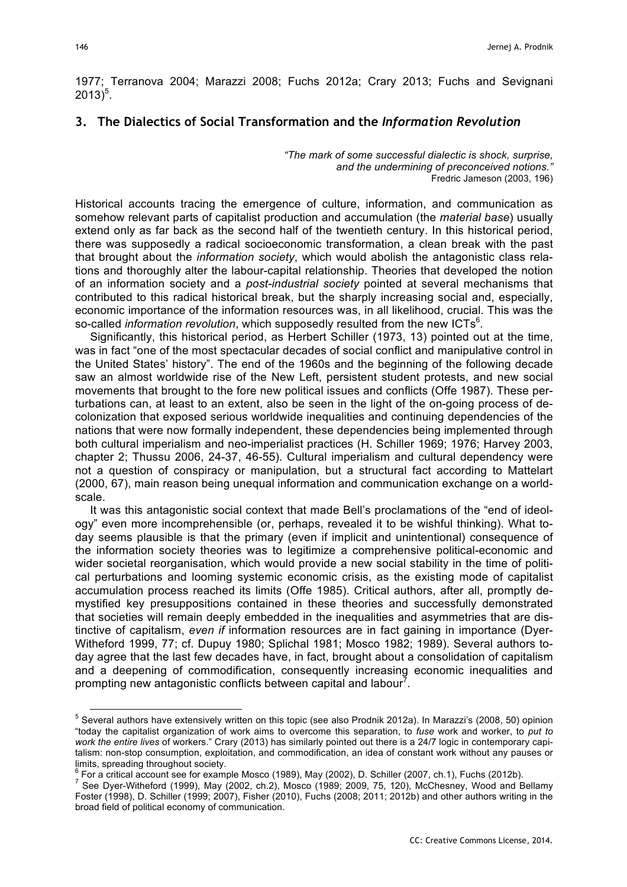1977; Terranova 2004; Marazzi 2008; Fuchs 2012a; Crary 2013; Fuchs and Sevignani  $2013)^5$ .

## **3. The Dialectics of Social Transformation and the** *Information Revolution*

*"The mark of some successful dialectic is shock, surprise, and the undermining of preconceived notions."* Fredric Jameson (2003, 196)

Historical accounts tracing the emergence of culture, information, and communication as somehow relevant parts of capitalist production and accumulation (the *material base*) usually extend only as far back as the second half of the twentieth century. In this historical period, there was supposedly a radical socioeconomic transformation, a clean break with the past that brought about the *information society*, which would abolish the antagonistic class relations and thoroughly alter the labour-capital relationship. Theories that developed the notion of an information society and a *post-industrial society* pointed at several mechanisms that contributed to this radical historical break, but the sharply increasing social and, especially, economic importance of the information resources was, in all likelihood, crucial. This was the so-called *information revolution*, which supposedly resulted from the new ICTs<sup>6</sup>.

Significantly, this historical period, as Herbert Schiller (1973, 13) pointed out at the time, was in fact "one of the most spectacular decades of social conflict and manipulative control in the United States' history". The end of the 1960s and the beginning of the following decade saw an almost worldwide rise of the New Left, persistent student protests, and new social movements that brought to the fore new political issues and conflicts (Offe 1987). These perturbations can, at least to an extent, also be seen in the light of the on-going process of decolonization that exposed serious worldwide inequalities and continuing dependencies of the nations that were now formally independent, these dependencies being implemented through both cultural imperialism and neo-imperialist practices (H. Schiller 1969; 1976; Harvey 2003, chapter 2; Thussu 2006, 24-37, 46-55). Cultural imperialism and cultural dependency were not a question of conspiracy or manipulation, but a structural fact according to Mattelart (2000, 67), main reason being unequal information and communication exchange on a worldscale.

It was this antagonistic social context that made Bell's proclamations of the "end of ideology" even more incomprehensible (or, perhaps, revealed it to be wishful thinking). What today seems plausible is that the primary (even if implicit and unintentional) consequence of the information society theories was to legitimize a comprehensive political-economic and wider societal reorganisation, which would provide a new social stability in the time of political perturbations and looming systemic economic crisis, as the existing mode of capitalist accumulation process reached its limits (Offe 1985). Critical authors, after all, promptly demystified key presuppositions contained in these theories and successfully demonstrated that societies will remain deeply embedded in the inequalities and asymmetries that are distinctive of capitalism, *even if* information resources are in fact gaining in importance (Dyer-Witheford 1999, 77; cf. Dupuy 1980; Splichal 1981; Mosco 1982; 1989). Several authors today agree that the last few decades have, in fact, brought about a consolidation of capitalism and a deepening of commodification, consequently increasing economic inequalities and prompting new antagonistic conflicts between capital and labour<sup>7</sup>.

<sup>&</sup>lt;sup>5</sup> Several authors have extensively written on this topic (see also Prodnik 2012a). In Marazzi's (2008, 50) opinion "today the capitalist organization of work aims to overcome this separation, to *fuse* work and worker, to *put to work the entire lives* of workers." Crary (2013) has similarly pointed out there is a 24/7 logic in contemporary capitalism: non-stop consumption, exploitation, and commodification, an idea of constant work without any pauses or

limits, spreading throughout society.<br>  $^6$  For a critical account see for example Mosco (1989), May (2002), D. Schiller (2007, ch.1), Fuchs (2012b).<br>
<sup>7</sup> See Dyer-Witheford (1999), May (2002, ch.2), Mosco (1989; 2009, 75 Foster (1998), D. Schiller (1999; 2007), Fisher (2010), Fuchs (2008; 2011; 2012b) and other authors writing in the broad field of political economy of communication.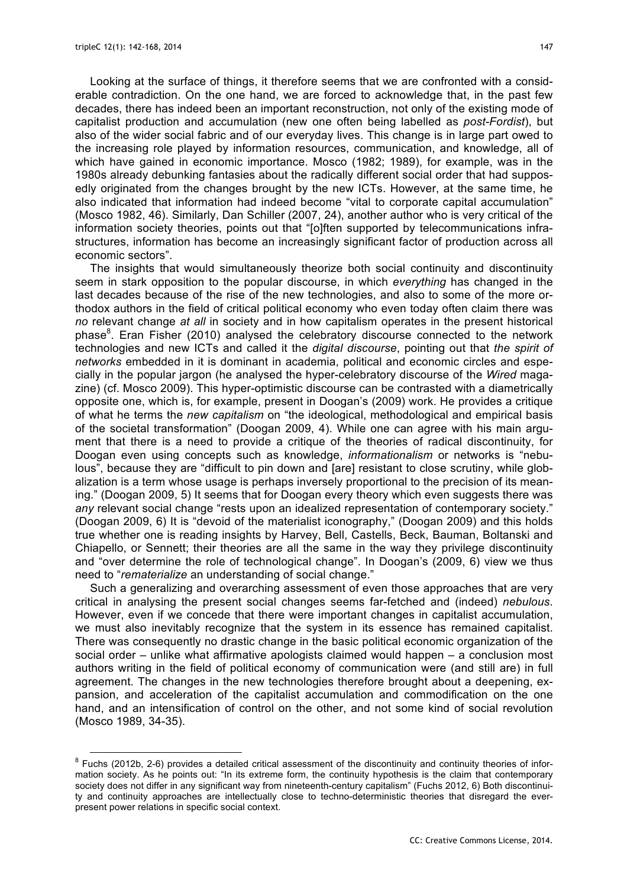Looking at the surface of things, it therefore seems that we are confronted with a considerable contradiction. On the one hand, we are forced to acknowledge that, in the past few decades, there has indeed been an important reconstruction, not only of the existing mode of capitalist production and accumulation (new one often being labelled as *post-Fordist*), but also of the wider social fabric and of our everyday lives. This change is in large part owed to the increasing role played by information resources, communication, and knowledge, all of which have gained in economic importance. Mosco (1982; 1989), for example, was in the 1980s already debunking fantasies about the radically different social order that had supposedly originated from the changes brought by the new ICTs. However, at the same time, he also indicated that information had indeed become "vital to corporate capital accumulation" (Mosco 1982, 46). Similarly, Dan Schiller (2007, 24), another author who is very critical of the information society theories, points out that "[o]ften supported by telecommunications infrastructures, information has become an increasingly significant factor of production across all economic sectors".

The insights that would simultaneously theorize both social continuity and discontinuity seem in stark opposition to the popular discourse, in which *everything* has changed in the last decades because of the rise of the new technologies, and also to some of the more orthodox authors in the field of critical political economy who even today often claim there was *no* relevant change *at all* in society and in how capitalism operates in the present historical phase<sup>8</sup>. Eran Fisher (2010) analysed the celebratory discourse connected to the network technologies and new ICTs and called it the *digital discourse*, pointing out that *the spirit of networks* embedded in it is dominant in academia, political and economic circles and especially in the popular jargon (he analysed the hyper-celebratory discourse of the *Wired* magazine) (cf. Mosco 2009). This hyper-optimistic discourse can be contrasted with a diametrically opposite one, which is, for example, present in Doogan's (2009) work. He provides a critique of what he terms the *new capitalism* on "the ideological, methodological and empirical basis of the societal transformation" (Doogan 2009, 4). While one can agree with his main argument that there is a need to provide a critique of the theories of radical discontinuity, for Doogan even using concepts such as knowledge, *informationalism* or networks is "nebulous", because they are "difficult to pin down and [are] resistant to close scrutiny, while globalization is a term whose usage is perhaps inversely proportional to the precision of its meaning." (Doogan 2009, 5) It seems that for Doogan every theory which even suggests there was *any* relevant social change "rests upon an idealized representation of contemporary society." (Doogan 2009, 6) It is "devoid of the materialist iconography," (Doogan 2009) and this holds true whether one is reading insights by Harvey, Bell, Castells, Beck, Bauman, Boltanski and Chiapello, or Sennett; their theories are all the same in the way they privilege discontinuity and "over determine the role of technological change". In Doogan's (2009, 6) view we thus need to "*rematerialize* an understanding of social change."

Such a generalizing and overarching assessment of even those approaches that are very critical in analysing the present social changes seems far-fetched and (indeed) *nebulous*. However, even if we concede that there were important changes in capitalist accumulation, we must also inevitably recognize that the system in its essence has remained capitalist. There was consequently no drastic change in the basic political economic organization of the social order – unlike what affirmative apologists claimed would happen – a conclusion most authors writing in the field of political economy of communication were (and still are) in full agreement. The changes in the new technologies therefore brought about a deepening, expansion, and acceleration of the capitalist accumulation and commodification on the one hand, and an intensification of control on the other, and not some kind of social revolution (Mosco 1989, 34-35).

 $8$  Fuchs (2012b, 2-6) provides a detailed critical assessment of the discontinuity and continuity theories of information society. As he points out: "In its extreme form, the continuity hypothesis is the claim that contemporary society does not differ in any significant way from nineteenth-century capitalism" (Fuchs 2012, 6) Both discontinuity and continuity approaches are intellectually close to techno-deterministic theories that disregard the everpresent power relations in specific social context.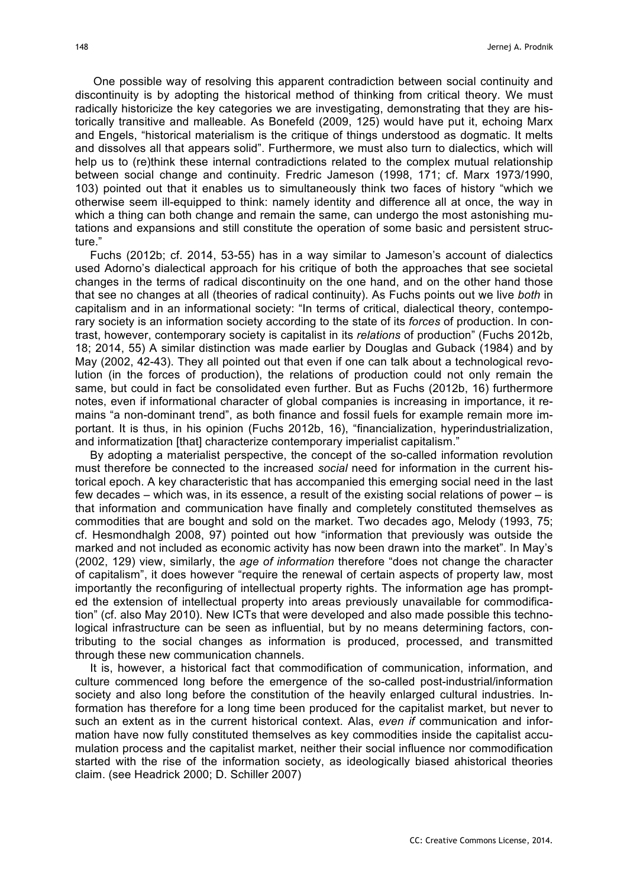One possible way of resolving this apparent contradiction between social continuity and discontinuity is by adopting the historical method of thinking from critical theory. We must radically historicize the key categories we are investigating, demonstrating that they are historically transitive and malleable. As Bonefeld (2009, 125) would have put it, echoing Marx and Engels, "historical materialism is the critique of things understood as dogmatic. It melts and dissolves all that appears solid". Furthermore, we must also turn to dialectics, which will help us to (re)think these internal contradictions related to the complex mutual relationship between social change and continuity. Fredric Jameson (1998, 171; cf. Marx 1973/1990, 103) pointed out that it enables us to simultaneously think two faces of history "which we otherwise seem ill-equipped to think: namely identity and difference all at once, the way in which a thing can both change and remain the same, can undergo the most astonishing mutations and expansions and still constitute the operation of some basic and persistent structure."

Fuchs (2012b; cf. 2014, 53-55) has in a way similar to Jameson's account of dialectics used Adorno's dialectical approach for his critique of both the approaches that see societal changes in the terms of radical discontinuity on the one hand, and on the other hand those that see no changes at all (theories of radical continuity). As Fuchs points out we live *both* in capitalism and in an informational society: "In terms of critical, dialectical theory, contemporary society is an information society according to the state of its *forces* of production. In contrast, however, contemporary society is capitalist in its *relations* of production" (Fuchs 2012b, 18; 2014, 55) A similar distinction was made earlier by Douglas and Guback (1984) and by May (2002, 42-43). They all pointed out that even if one can talk about a technological revolution (in the forces of production), the relations of production could not only remain the same, but could in fact be consolidated even further. But as Fuchs (2012b, 16) furthermore notes, even if informational character of global companies is increasing in importance, it remains "a non-dominant trend", as both finance and fossil fuels for example remain more important. It is thus, in his opinion (Fuchs 2012b, 16), "financialization, hyperindustrialization, and informatization [that] characterize contemporary imperialist capitalism."

By adopting a materialist perspective, the concept of the so-called information revolution must therefore be connected to the increased *social* need for information in the current historical epoch. A key characteristic that has accompanied this emerging social need in the last few decades – which was, in its essence, a result of the existing social relations of power – is that information and communication have finally and completely constituted themselves as commodities that are bought and sold on the market. Two decades ago, Melody (1993, 75; cf. Hesmondhalgh 2008, 97) pointed out how "information that previously was outside the marked and not included as economic activity has now been drawn into the market". In May's (2002, 129) view, similarly, the *age of information* therefore "does not change the character of capitalism", it does however "require the renewal of certain aspects of property law, most importantly the reconfiguring of intellectual property rights. The information age has prompted the extension of intellectual property into areas previously unavailable for commodification" (cf. also May 2010). New ICTs that were developed and also made possible this technological infrastructure can be seen as influential, but by no means determining factors, contributing to the social changes as information is produced, processed, and transmitted through these new communication channels.

It is, however, a historical fact that commodification of communication, information, and culture commenced long before the emergence of the so-called post-industrial/information society and also long before the constitution of the heavily enlarged cultural industries. Information has therefore for a long time been produced for the capitalist market, but never to such an extent as in the current historical context. Alas, *even if* communication and information have now fully constituted themselves as key commodities inside the capitalist accumulation process and the capitalist market, neither their social influence nor commodification started with the rise of the information society, as ideologically biased ahistorical theories claim. (see Headrick 2000; D. Schiller 2007)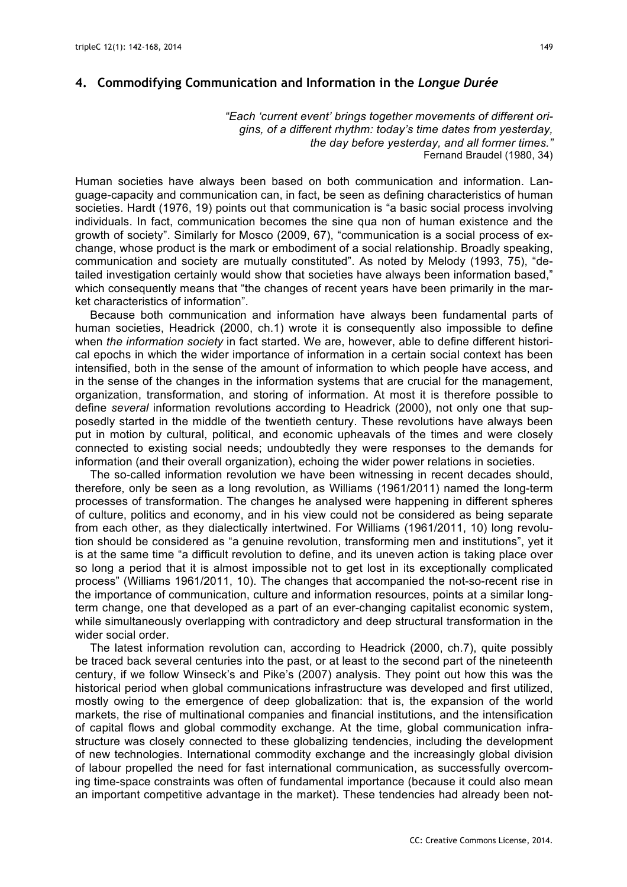## **4. Commodifying Communication and Information in the** *Longue Durée*

*"Each 'current event' brings together movements of different origins, of a different rhythm: today's time dates from yesterday, the day before yesterday, and all former times."* Fernand Braudel (1980, 34)

Human societies have always been based on both communication and information. Language-capacity and communication can, in fact, be seen as defining characteristics of human societies. Hardt (1976, 19) points out that communication is "a basic social process involving individuals. In fact, communication becomes the sine qua non of human existence and the growth of society". Similarly for Mosco (2009, 67), "communication is a social process of exchange, whose product is the mark or embodiment of a social relationship. Broadly speaking, communication and society are mutually constituted". As noted by Melody (1993, 75), "detailed investigation certainly would show that societies have always been information based," which consequently means that "the changes of recent years have been primarily in the market characteristics of information".

Because both communication and information have always been fundamental parts of human societies, Headrick (2000, ch.1) wrote it is consequently also impossible to define when *the information society* in fact started. We are, however, able to define different historical epochs in which the wider importance of information in a certain social context has been intensified, both in the sense of the amount of information to which people have access, and in the sense of the changes in the information systems that are crucial for the management, organization, transformation, and storing of information. At most it is therefore possible to define *several* information revolutions according to Headrick (2000), not only one that supposedly started in the middle of the twentieth century. These revolutions have always been put in motion by cultural, political, and economic upheavals of the times and were closely connected to existing social needs; undoubtedly they were responses to the demands for information (and their overall organization), echoing the wider power relations in societies.

The so-called information revolution we have been witnessing in recent decades should, therefore, only be seen as a long revolution, as Williams (1961/2011) named the long-term processes of transformation. The changes he analysed were happening in different spheres of culture, politics and economy, and in his view could not be considered as being separate from each other, as they dialectically intertwined. For Williams (1961/2011, 10) long revolution should be considered as "a genuine revolution, transforming men and institutions", yet it is at the same time "a difficult revolution to define, and its uneven action is taking place over so long a period that it is almost impossible not to get lost in its exceptionally complicated process" (Williams 1961/2011, 10). The changes that accompanied the not-so-recent rise in the importance of communication, culture and information resources, points at a similar longterm change, one that developed as a part of an ever-changing capitalist economic system, while simultaneously overlapping with contradictory and deep structural transformation in the wider social order.

The latest information revolution can, according to Headrick (2000, ch.7), quite possibly be traced back several centuries into the past, or at least to the second part of the nineteenth century, if we follow Winseck's and Pike's (2007) analysis. They point out how this was the historical period when global communications infrastructure was developed and first utilized, mostly owing to the emergence of deep globalization: that is, the expansion of the world markets, the rise of multinational companies and financial institutions, and the intensification of capital flows and global commodity exchange. At the time, global communication infrastructure was closely connected to these globalizing tendencies, including the development of new technologies. International commodity exchange and the increasingly global division of labour propelled the need for fast international communication, as successfully overcoming time-space constraints was often of fundamental importance (because it could also mean an important competitive advantage in the market). These tendencies had already been not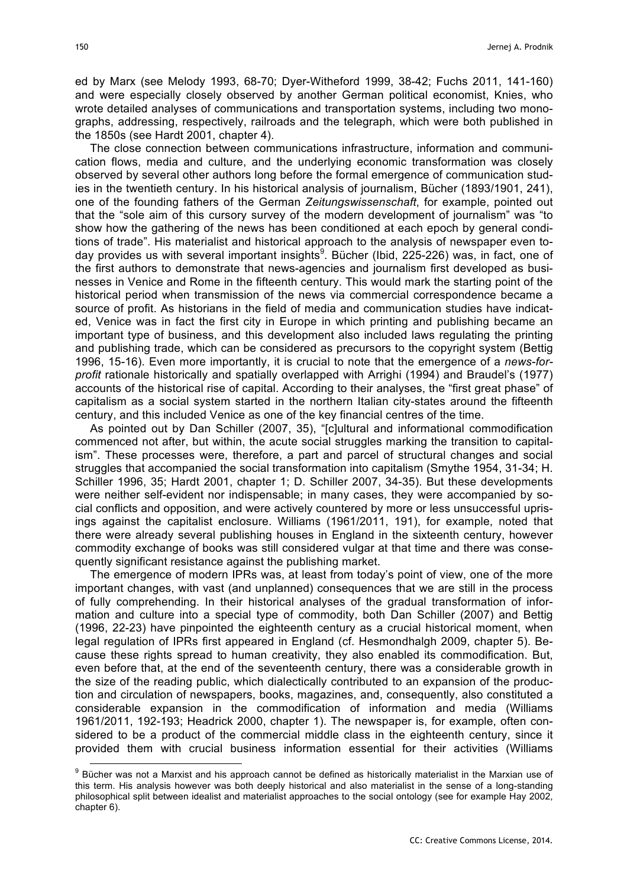ed by Marx (see Melody 1993, 68-70; Dyer-Witheford 1999, 38-42; Fuchs 2011, 141-160) and were especially closely observed by another German political economist, Knies, who wrote detailed analyses of communications and transportation systems, including two monographs, addressing, respectively, railroads and the telegraph, which were both published in the 1850s (see Hardt 2001, chapter 4).

The close connection between communications infrastructure, information and communication flows, media and culture, and the underlying economic transformation was closely observed by several other authors long before the formal emergence of communication studies in the twentieth century. In his historical analysis of journalism, Bücher (1893/1901, 241), one of the founding fathers of the German *Zeitungswissenschaft*, for example, pointed out that the "sole aim of this cursory survey of the modern development of journalism" was "to show how the gathering of the news has been conditioned at each epoch by general conditions of trade". His materialist and historical approach to the analysis of newspaper even today provides us with several important insights<sup>9</sup>. Bücher (Ibid, 225-226) was, in fact, one of the first authors to demonstrate that news-agencies and journalism first developed as businesses in Venice and Rome in the fifteenth century. This would mark the starting point of the historical period when transmission of the news via commercial correspondence became a source of profit. As historians in the field of media and communication studies have indicated, Venice was in fact the first city in Europe in which printing and publishing became an important type of business, and this development also included laws regulating the printing and publishing trade, which can be considered as precursors to the copyright system (Bettig 1996, 15-16). Even more importantly, it is crucial to note that the emergence of a *news-forprofit* rationale historically and spatially overlapped with Arrighi (1994) and Braudel's (1977) accounts of the historical rise of capital. According to their analyses, the "first great phase" of capitalism as a social system started in the northern Italian city-states around the fifteenth century, and this included Venice as one of the key financial centres of the time.

As pointed out by Dan Schiller (2007, 35), "[c]ultural and informational commodification commenced not after, but within, the acute social struggles marking the transition to capitalism". These processes were, therefore, a part and parcel of structural changes and social struggles that accompanied the social transformation into capitalism (Smythe 1954, 31-34; H. Schiller 1996, 35; Hardt 2001, chapter 1; D. Schiller 2007, 34-35). But these developments were neither self-evident nor indispensable; in many cases, they were accompanied by social conflicts and opposition, and were actively countered by more or less unsuccessful uprisings against the capitalist enclosure. Williams (1961/2011, 191), for example, noted that there were already several publishing houses in England in the sixteenth century, however commodity exchange of books was still considered vulgar at that time and there was consequently significant resistance against the publishing market.

The emergence of modern IPRs was, at least from today's point of view, one of the more important changes, with vast (and unplanned) consequences that we are still in the process of fully comprehending. In their historical analyses of the gradual transformation of information and culture into a special type of commodity, both Dan Schiller (2007) and Bettig (1996, 22-23) have pinpointed the eighteenth century as a crucial historical moment, when legal regulation of IPRs first appeared in England (cf. Hesmondhalgh 2009, chapter 5). Because these rights spread to human creativity, they also enabled its commodification. But, even before that, at the end of the seventeenth century, there was a considerable growth in the size of the reading public, which dialectically contributed to an expansion of the production and circulation of newspapers, books, magazines, and, consequently, also constituted a considerable expansion in the commodification of information and media (Williams 1961/2011, 192-193; Headrick 2000, chapter 1). The newspaper is, for example, often considered to be a product of the commercial middle class in the eighteenth century, since it provided them with crucial business information essential for their activities (Williams

<sup>&</sup>lt;sup>9</sup> Bücher was not a Marxist and his approach cannot be defined as historically materialist in the Marxian use of this term. His analysis however was both deeply historical and also materialist in the sense of a long-standing philosophical split between idealist and materialist approaches to the social ontology (see for example Hay 2002, chapter 6).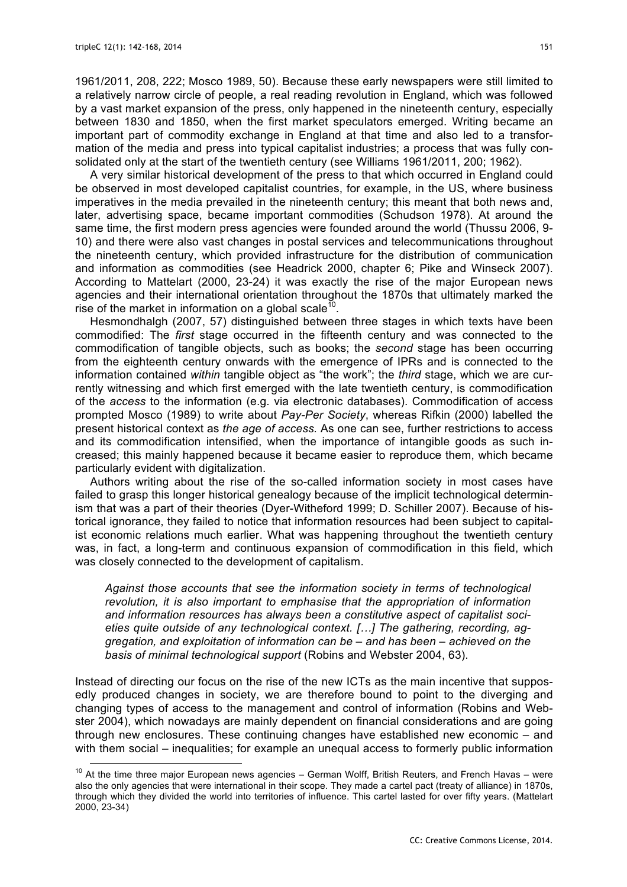1961/2011, 208, 222; Mosco 1989, 50). Because these early newspapers were still limited to a relatively narrow circle of people, a real reading revolution in England, which was followed by a vast market expansion of the press, only happened in the nineteenth century, especially between 1830 and 1850, when the first market speculators emerged. Writing became an important part of commodity exchange in England at that time and also led to a transformation of the media and press into typical capitalist industries; a process that was fully consolidated only at the start of the twentieth century (see Williams 1961/2011, 200; 1962).

A very similar historical development of the press to that which occurred in England could be observed in most developed capitalist countries, for example, in the US, where business imperatives in the media prevailed in the nineteenth century; this meant that both news and, later, advertising space, became important commodities (Schudson 1978). At around the same time, the first modern press agencies were founded around the world (Thussu 2006, 9- 10) and there were also vast changes in postal services and telecommunications throughout the nineteenth century, which provided infrastructure for the distribution of communication and information as commodities (see Headrick 2000, chapter 6; Pike and Winseck 2007). According to Mattelart (2000, 23-24) it was exactly the rise of the major European news agencies and their international orientation throughout the 1870s that ultimately marked the rise of the market in information on a global scale<sup>10</sup>.

Hesmondhalgh (2007, 57) distinguished between three stages in which texts have been commodified: The *first* stage occurred in the fifteenth century and was connected to the commodification of tangible objects, such as books; the *second* stage has been occurring from the eighteenth century onwards with the emergence of IPRs and is connected to the information contained *within* tangible object as "the work"; the *third* stage, which we are currently witnessing and which first emerged with the late twentieth century, is commodification of the *access* to the information (e.g. via electronic databases). Commodification of access prompted Mosco (1989) to write about *Pay-Per Society*, whereas Rifkin (2000) labelled the present historical context as *the age of access.* As one can see, further restrictions to access and its commodification intensified, when the importance of intangible goods as such increased; this mainly happened because it became easier to reproduce them, which became particularly evident with digitalization.

Authors writing about the rise of the so-called information society in most cases have failed to grasp this longer historical genealogy because of the implicit technological determinism that was a part of their theories (Dyer-Witheford 1999; D. Schiller 2007). Because of historical ignorance, they failed to notice that information resources had been subject to capitalist economic relations much earlier. What was happening throughout the twentieth century was, in fact, a long-term and continuous expansion of commodification in this field, which was closely connected to the development of capitalism.

*Against those accounts that see the information society in terms of technological revolution, it is also important to emphasise that the appropriation of information and information resources has always been a constitutive aspect of capitalist societies quite outside of any technological context. […] The gathering, recording, aggregation, and exploitation of information can be – and has been – achieved on the basis of minimal technological support* (Robins and Webster 2004, 63).

Instead of directing our focus on the rise of the new ICTs as the main incentive that supposedly produced changes in society, we are therefore bound to point to the diverging and changing types of access to the management and control of information (Robins and Webster 2004), which nowadays are mainly dependent on financial considerations and are going through new enclosures. These continuing changes have established new economic – and with them social – inequalities; for example an unequal access to formerly public information

 $10$  At the time three major European news agencies – German Wolff, British Reuters, and French Havas – were also the only agencies that were international in their scope. They made a cartel pact (treaty of alliance) in 1870s, through which they divided the world into territories of influence. This cartel lasted for over fifty years. (Mattelart 2000, 23-34)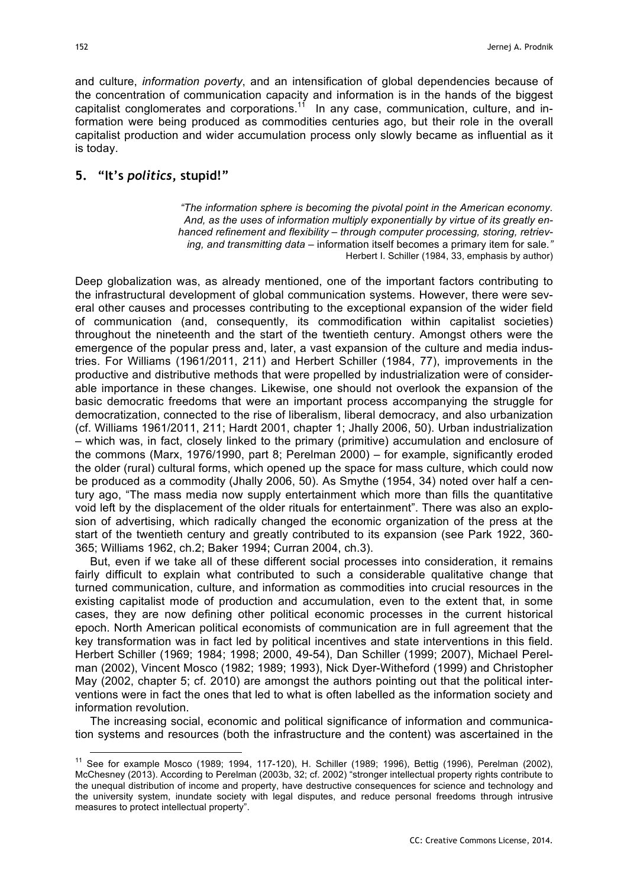and culture, *information poverty*, and an intensification of global dependencies because of the concentration of communication capacity and information is in the hands of the biggest capitalist conglomerates and corporations.<sup>11</sup> In any case, communication, culture, and information were being produced as commodities centuries ago, but their role in the overall capitalist production and wider accumulation process only slowly became as influential as it is today.

#### **5. "It's** *politics***, stupid!"**

*"The information sphere is becoming the pivotal point in the American economy. And, as the uses of information multiply exponentially by virtue of its greatly enhanced refinement and flexibility – through computer processing, storing, retrieving, and transmitting data –* information itself becomes a primary item for sale*."* Herbert I. Schiller (1984, 33, emphasis by author)

Deep globalization was, as already mentioned, one of the important factors contributing to the infrastructural development of global communication systems. However, there were several other causes and processes contributing to the exceptional expansion of the wider field of communication (and, consequently, its commodification within capitalist societies) throughout the nineteenth and the start of the twentieth century. Amongst others were the emergence of the popular press and, later, a vast expansion of the culture and media industries. For Williams (1961/2011, 211) and Herbert Schiller (1984, 77), improvements in the productive and distributive methods that were propelled by industrialization were of considerable importance in these changes. Likewise, one should not overlook the expansion of the basic democratic freedoms that were an important process accompanying the struggle for democratization, connected to the rise of liberalism, liberal democracy, and also urbanization (cf. Williams 1961/2011, 211; Hardt 2001, chapter 1; Jhally 2006, 50). Urban industrialization – which was, in fact, closely linked to the primary (primitive) accumulation and enclosure of the commons (Marx, 1976/1990, part 8; Perelman 2000) – for example, significantly eroded the older (rural) cultural forms, which opened up the space for mass culture, which could now be produced as a commodity (Jhally 2006, 50). As Smythe (1954, 34) noted over half a century ago, "The mass media now supply entertainment which more than fills the quantitative void left by the displacement of the older rituals for entertainment". There was also an explosion of advertising, which radically changed the economic organization of the press at the start of the twentieth century and greatly contributed to its expansion (see Park 1922, 360- 365; Williams 1962, ch.2; Baker 1994; Curran 2004, ch.3).

But, even if we take all of these different social processes into consideration, it remains fairly difficult to explain what contributed to such a considerable qualitative change that turned communication, culture, and information as commodities into crucial resources in the existing capitalist mode of production and accumulation, even to the extent that, in some cases, they are now defining other political economic processes in the current historical epoch. North American political economists of communication are in full agreement that the key transformation was in fact led by political incentives and state interventions in this field. Herbert Schiller (1969; 1984; 1998; 2000, 49-54), Dan Schiller (1999; 2007), Michael Perelman (2002), Vincent Mosco (1982; 1989; 1993), Nick Dyer-Witheford (1999) and Christopher May (2002, chapter 5; cf. 2010) are amongst the authors pointing out that the political interventions were in fact the ones that led to what is often labelled as the information society and information revolution.

The increasing social, economic and political significance of information and communication systems and resources (both the infrastructure and the content) was ascertained in the

 <sup>11</sup> See for example Mosco (1989; 1994, 117-120), H. Schiller (1989; 1996), Bettig (1996), Perelman (2002), McChesney (2013). According to Perelman (2003b, 32; cf. 2002) "stronger intellectual property rights contribute to the unequal distribution of income and property, have destructive consequences for science and technology and the university system, inundate society with legal disputes, and reduce personal freedoms through intrusive measures to protect intellectual property".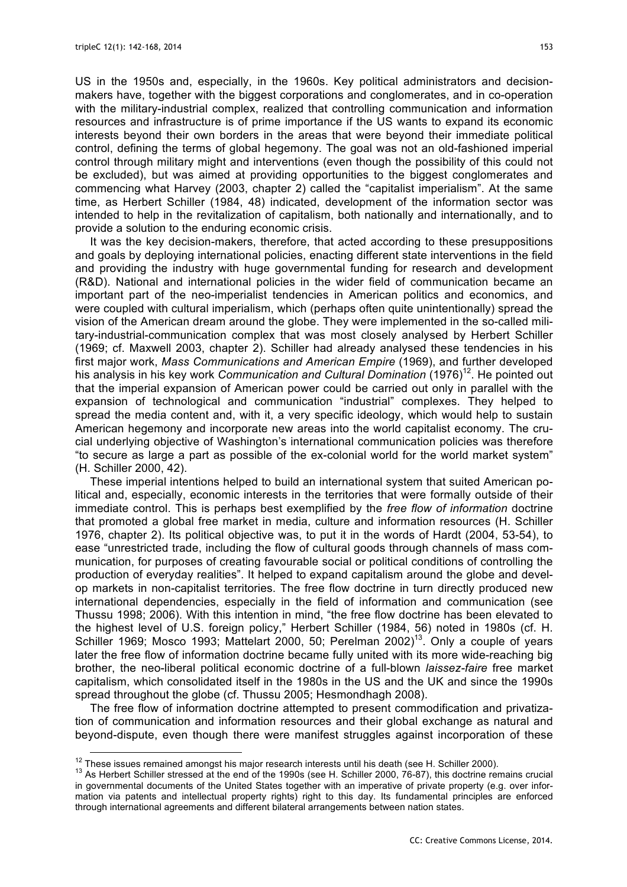US in the 1950s and, especially, in the 1960s. Key political administrators and decisionmakers have, together with the biggest corporations and conglomerates, and in co-operation with the military-industrial complex, realized that controlling communication and information resources and infrastructure is of prime importance if the US wants to expand its economic interests beyond their own borders in the areas that were beyond their immediate political control, defining the terms of global hegemony. The goal was not an old-fashioned imperial control through military might and interventions (even though the possibility of this could not be excluded), but was aimed at providing opportunities to the biggest conglomerates and commencing what Harvey (2003, chapter 2) called the "capitalist imperialism". At the same time, as Herbert Schiller (1984, 48) indicated, development of the information sector was intended to help in the revitalization of capitalism, both nationally and internationally, and to provide a solution to the enduring economic crisis.

It was the key decision-makers, therefore, that acted according to these presuppositions and goals by deploying international policies, enacting different state interventions in the field and providing the industry with huge governmental funding for research and development (R&D). National and international policies in the wider field of communication became an important part of the neo-imperialist tendencies in American politics and economics, and were coupled with cultural imperialism, which (perhaps often quite unintentionally) spread the vision of the American dream around the globe. They were implemented in the so-called military-industrial-communication complex that was most closely analysed by Herbert Schiller (1969; cf. Maxwell 2003, chapter 2). Schiller had already analysed these tendencies in his first major work, *Mass Communications and American Empire* (1969), and further developed his analysis in his key work *Communication and Cultural Domination* (1976)<sup>12</sup>. He pointed out that the imperial expansion of American power could be carried out only in parallel with the expansion of technological and communication "industrial" complexes. They helped to spread the media content and, with it, a very specific ideology, which would help to sustain American hegemony and incorporate new areas into the world capitalist economy. The crucial underlying objective of Washington's international communication policies was therefore "to secure as large a part as possible of the ex-colonial world for the world market system" (H. Schiller 2000, 42).

These imperial intentions helped to build an international system that suited American political and, especially, economic interests in the territories that were formally outside of their immediate control. This is perhaps best exemplified by the *free flow of information* doctrine that promoted a global free market in media, culture and information resources (H. Schiller 1976, chapter 2). Its political objective was, to put it in the words of Hardt (2004, 53-54), to ease "unrestricted trade, including the flow of cultural goods through channels of mass communication, for purposes of creating favourable social or political conditions of controlling the production of everyday realities". It helped to expand capitalism around the globe and develop markets in non-capitalist territories. The free flow doctrine in turn directly produced new international dependencies, especially in the field of information and communication (see Thussu 1998; 2006). With this intention in mind, "the free flow doctrine has been elevated to the highest level of U.S. foreign policy," Herbert Schiller (1984, 56) noted in 1980s (cf. H. Schiller 1969; Mosco 1993; Mattelart 2000, 50; Perelman 2002)<sup>13</sup>. Only a couple of years later the free flow of information doctrine became fully united with its more wide-reaching big brother, the neo-liberal political economic doctrine of a full-blown *laissez-faire* free market capitalism, which consolidated itself in the 1980s in the US and the UK and since the 1990s spread throughout the globe (cf. Thussu 2005; Hesmondhagh 2008).

The free flow of information doctrine attempted to present commodification and privatization of communication and information resources and their global exchange as natural and beyond-dispute, even though there were manifest struggles against incorporation of these

<sup>&</sup>lt;sup>12</sup> These issues remained amongst his major research interests until his death (see H. Schiller 2000).<br><sup>13</sup> As Herbert Schiller stressed at the end of the 1990s (see H. Schiller 2000, 76-87), this doctrine remains crucia in governmental documents of the United States together with an imperative of private property (e.g. over information via patents and intellectual property rights) right to this day. Its fundamental principles are enforced through international agreements and different bilateral arrangements between nation states.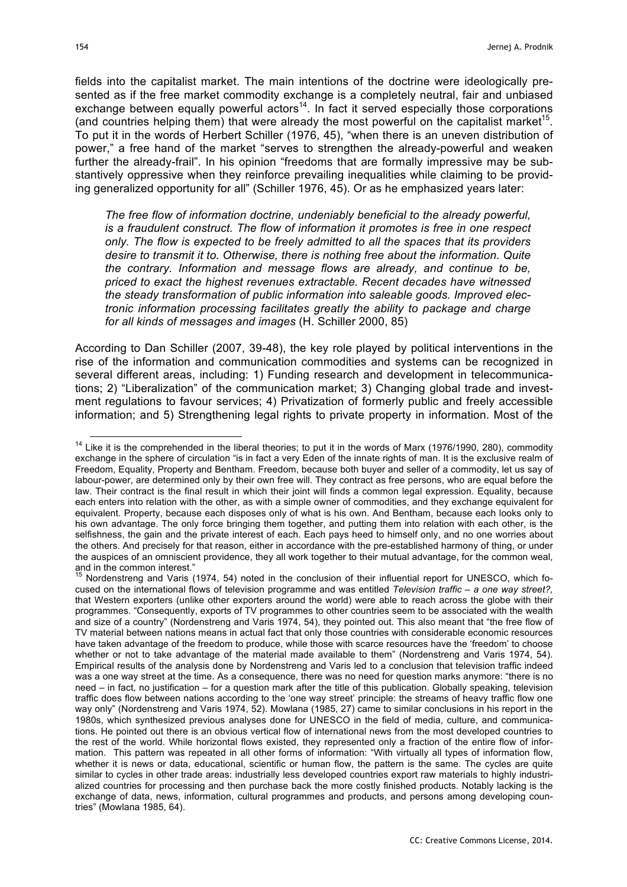fields into the capitalist market. The main intentions of the doctrine were ideologically presented as if the free market commodity exchange is a completely neutral, fair and unbiased exchange between equally powerful actors<sup>14</sup>. In fact it served especially those corporations (and countries helping them) that were already the most powerful on the capitalist market<sup>15</sup>. To put it in the words of Herbert Schiller (1976, 45), "when there is an uneven distribution of power," a free hand of the market "serves to strengthen the already-powerful and weaken further the already-frail". In his opinion "freedoms that are formally impressive may be substantively oppressive when they reinforce prevailing inequalities while claiming to be providing generalized opportunity for all" (Schiller 1976, 45). Or as he emphasized years later:

*The free flow of information doctrine, undeniably beneficial to the already powerful, is a fraudulent construct. The flow of information it promotes is free in one respect only. The flow is expected to be freely admitted to all the spaces that its providers desire to transmit it to. Otherwise, there is nothing free about the information. Quite the contrary. Information and message flows are already, and continue to be, priced to exact the highest revenues extractable. Recent decades have witnessed the steady transformation of public information into saleable goods. Improved electronic information processing facilitates greatly the ability to package and charge for all kinds of messages and images* (H. Schiller 2000, 85)

According to Dan Schiller (2007, 39-48), the key role played by political interventions in the rise of the information and communication commodities and systems can be recognized in several different areas, including: 1) Funding research and development in telecommunications; 2) "Liberalization" of the communication market; 3) Changing global trade and investment regulations to favour services; 4) Privatization of formerly public and freely accessible information; and 5) Strengthening legal rights to private property in information. Most of the

 $14$  Like it is the comprehended in the liberal theories; to put it in the words of Marx (1976/1990, 280), commodity exchange in the sphere of circulation "is in fact a very Eden of the innate rights of man. It is the exclusive realm of Freedom, Equality, Property and Bentham. Freedom, because both buyer and seller of a commodity, let us say of labour-power, are determined only by their own free will. They contract as free persons, who are equal before the law. Their contract is the final result in which their joint will finds a common legal expression. Equality, because each enters into relation with the other, as with a simple owner of commodities, and they exchange equivalent for equivalent. Property, because each disposes only of what is his own. And Bentham, because each looks only to his own advantage. The only force bringing them together, and putting them into relation with each other, is the selfishness, the gain and the private interest of each. Each pays heed to himself only, and no one worries about the others. And precisely for that reason, either in accordance with the pre-established harmony of thing, or under the auspices of an omniscient providence, they all work together to their mutual advantage, for the common weal, and in the common interest."

Nordenstreng and Varis (1974, 54) noted in the conclusion of their influential report for UNESCO, which focused on the international flows of television programme and was entitled *Television traffic – a one way street?,* that Western exporters (unlike other exporters around the world) were able to reach across the globe with their programmes. "Consequently, exports of TV programmes to other countries seem to be associated with the wealth and size of a country" (Nordenstreng and Varis 1974, 54), they pointed out. This also meant that "the free flow of TV material between nations means in actual fact that only those countries with considerable economic resources have taken advantage of the freedom to produce, while those with scarce resources have the 'freedom' to choose whether or not to take advantage of the material made available to them" (Nordenstreng and Varis 1974, 54). Empirical results of the analysis done by Nordenstreng and Varis led to a conclusion that television traffic indeed was a one way street at the time. As a consequence, there was no need for question marks anymore: "there is no need – in fact, no justification – for a question mark after the title of this publication. Globally speaking, television traffic does flow between nations according to the 'one way street' principle: the streams of heavy traffic flow one way only" (Nordenstreng and Varis 1974, 52). Mowlana (1985, 27) came to similar conclusions in his report in the 1980s, which synthesized previous analyses done for UNESCO in the field of media, culture, and communications. He pointed out there is an obvious vertical flow of international news from the most developed countries to the rest of the world. While horizontal flows existed, they represented only a fraction of the entire flow of information. This pattern was repeated in all other forms of information: "With virtually all types of information flow, whether it is news or data, educational, scientific or human flow, the pattern is the same. The cycles are quite similar to cycles in other trade areas: industrially less developed countries export raw materials to highly industrialized countries for processing and then purchase back the more costly finished products. Notably lacking is the exchange of data, news, information, cultural programmes and products, and persons among developing countries" (Mowlana 1985, 64).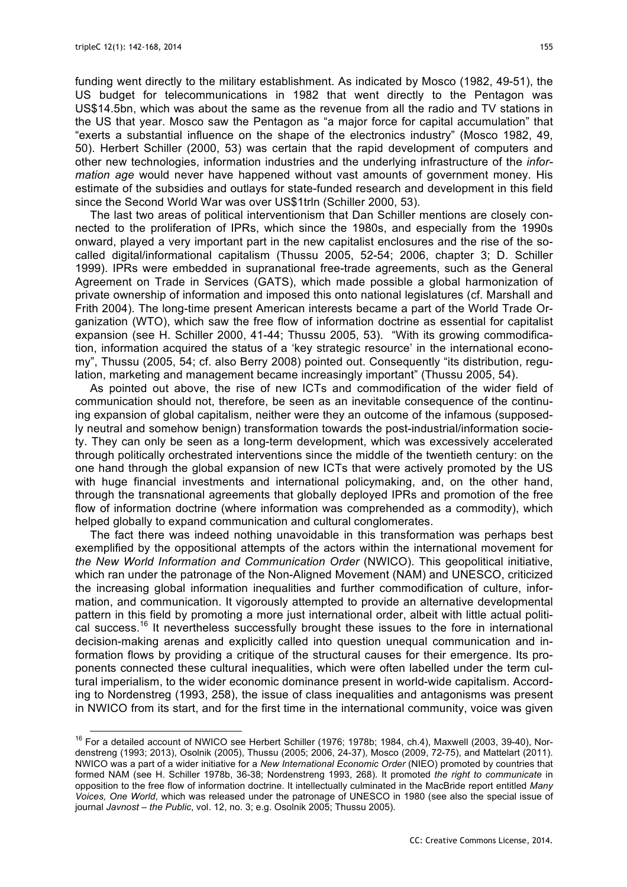funding went directly to the military establishment. As indicated by Mosco (1982, 49-51), the US budget for telecommunications in 1982 that went directly to the Pentagon was US\$14.5bn, which was about the same as the revenue from all the radio and TV stations in the US that year. Mosco saw the Pentagon as "a major force for capital accumulation" that "exerts a substantial influence on the shape of the electronics industry" (Mosco 1982, 49, 50). Herbert Schiller (2000, 53) was certain that the rapid development of computers and other new technologies, information industries and the underlying infrastructure of the *information age* would never have happened without vast amounts of government money. His estimate of the subsidies and outlays for state-funded research and development in this field since the Second World War was over US\$1trln (Schiller 2000, 53).

The last two areas of political interventionism that Dan Schiller mentions are closely connected to the proliferation of IPRs, which since the 1980s, and especially from the 1990s onward, played a very important part in the new capitalist enclosures and the rise of the socalled digital/informational capitalism (Thussu 2005, 52-54; 2006, chapter 3; D. Schiller 1999). IPRs were embedded in supranational free-trade agreements, such as the General Agreement on Trade in Services (GATS), which made possible a global harmonization of private ownership of information and imposed this onto national legislatures (cf. Marshall and Frith 2004). The long-time present American interests became a part of the World Trade Organization (WTO), which saw the free flow of information doctrine as essential for capitalist expansion (see H. Schiller 2000, 41-44; Thussu 2005, 53). "With its growing commodification, information acquired the status of a 'key strategic resource' in the international economy", Thussu (2005, 54; cf. also Berry 2008) pointed out. Consequently "its distribution, regulation, marketing and management became increasingly important" (Thussu 2005, 54).

As pointed out above, the rise of new ICTs and commodification of the wider field of communication should not, therefore, be seen as an inevitable consequence of the continuing expansion of global capitalism, neither were they an outcome of the infamous (supposedly neutral and somehow benign) transformation towards the post-industrial/information society. They can only be seen as a long-term development, which was excessively accelerated through politically orchestrated interventions since the middle of the twentieth century: on the one hand through the global expansion of new ICTs that were actively promoted by the US with huge financial investments and international policymaking, and, on the other hand, through the transnational agreements that globally deployed IPRs and promotion of the free flow of information doctrine (where information was comprehended as a commodity), which helped globally to expand communication and cultural conglomerates.

The fact there was indeed nothing unavoidable in this transformation was perhaps best exemplified by the oppositional attempts of the actors within the international movement for *the New World Information and Communication Order* (NWICO). This geopolitical initiative, which ran under the patronage of the Non-Aligned Movement (NAM) and UNESCO, criticized the increasing global information inequalities and further commodification of culture, information, and communication. It vigorously attempted to provide an alternative developmental pattern in this field by promoting a more just international order, albeit with little actual political success.<sup>16</sup> It nevertheless successfully brought these issues to the fore in international decision-making arenas and explicitly called into question unequal communication and information flows by providing a critique of the structural causes for their emergence. Its proponents connected these cultural inequalities, which were often labelled under the term cultural imperialism, to the wider economic dominance present in world-wide capitalism. According to Nordenstreg (1993, 258), the issue of class inequalities and antagonisms was present in NWICO from its start, and for the first time in the international community, voice was given

<sup>&</sup>lt;sup>16</sup> For a detailed account of NWICO see Herbert Schiller (1976; 1978b; 1984, ch.4), Maxwell (2003, 39-40), Nordenstreng (1993; 2013), Osolnik (2005), Thussu (2005; 2006, 24-37), Mosco (2009, 72-75), and Mattelart (2011). NWICO was a part of a wider initiative for a *New International Economic Order* (NIEO) promoted by countries that formed NAM (see H. Schiller 1978b, 36-38; Nordenstreng 1993, 268). It promoted *the right to communicate* in opposition to the free flow of information doctrine. It intellectually culminated in the MacBride report entitled *Many Voices, One World*, which was released under the patronage of UNESCO in 1980 (see also the special issue of journal *Javnost – the Public*, vol. 12, no. 3; e.g. Osolnik 2005; Thussu 2005).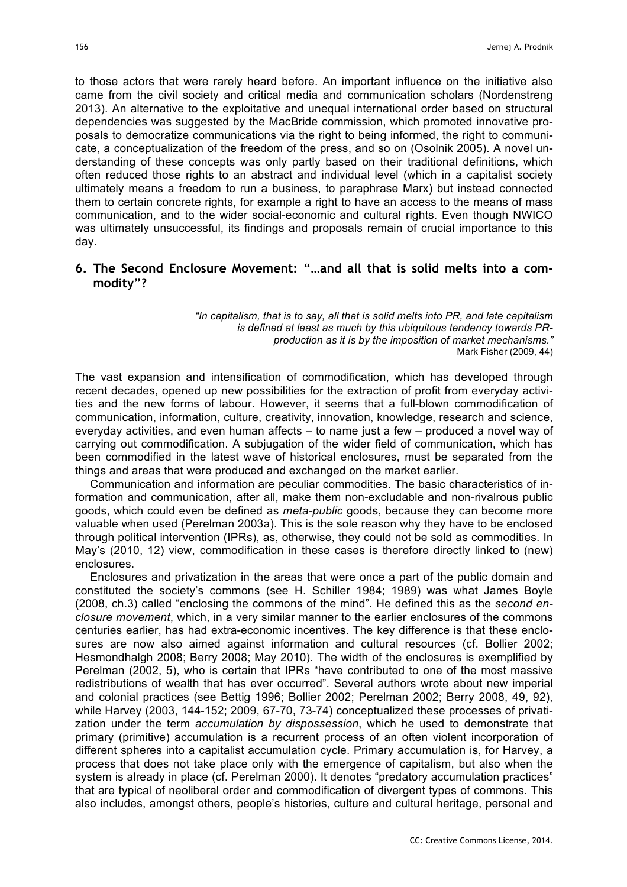to those actors that were rarely heard before. An important influence on the initiative also came from the civil society and critical media and communication scholars (Nordenstreng 2013). An alternative to the exploitative and unequal international order based on structural dependencies was suggested by the MacBride commission, which promoted innovative proposals to democratize communications via the right to being informed, the right to communicate, a conceptualization of the freedom of the press, and so on (Osolnik 2005). A novel understanding of these concepts was only partly based on their traditional definitions, which often reduced those rights to an abstract and individual level (which in a capitalist society ultimately means a freedom to run a business, to paraphrase Marx) but instead connected them to certain concrete rights, for example a right to have an access to the means of mass communication, and to the wider social-economic and cultural rights. Even though NWICO was ultimately unsuccessful, its findings and proposals remain of crucial importance to this day.

# **6. The Second Enclosure Movement: "…and all that is solid melts into a commodity"?**

*"In capitalism, that is to say, all that is solid melts into PR, and late capitalism is defined at least as much by this ubiquitous tendency towards PRproduction as it is by the imposition of market mechanisms."* Mark Fisher (2009, 44)

The vast expansion and intensification of commodification, which has developed through recent decades, opened up new possibilities for the extraction of profit from everyday activities and the new forms of labour. However, it seems that a full-blown commodification of communication, information, culture, creativity, innovation, knowledge, research and science, everyday activities, and even human affects – to name just a few – produced a novel way of carrying out commodification. A subjugation of the wider field of communication, which has been commodified in the latest wave of historical enclosures, must be separated from the things and areas that were produced and exchanged on the market earlier.

Communication and information are peculiar commodities. The basic characteristics of information and communication, after all, make them non-excludable and non-rivalrous public goods, which could even be defined as *meta-public* goods, because they can become more valuable when used (Perelman 2003a). This is the sole reason why they have to be enclosed through political intervention (IPRs), as, otherwise, they could not be sold as commodities. In May's (2010, 12) view, commodification in these cases is therefore directly linked to (new) enclosures.

Enclosures and privatization in the areas that were once a part of the public domain and constituted the society's commons (see H. Schiller 1984; 1989) was what James Boyle (2008, ch.3) called "enclosing the commons of the mind". He defined this as the *second enclosure movement*, which, in a very similar manner to the earlier enclosures of the commons centuries earlier, has had extra-economic incentives. The key difference is that these enclosures are now also aimed against information and cultural resources (cf. Bollier 2002; Hesmondhalgh 2008; Berry 2008; May 2010). The width of the enclosures is exemplified by Perelman (2002, 5), who is certain that IPRs "have contributed to one of the most massive redistributions of wealth that has ever occurred". Several authors wrote about new imperial and colonial practices (see Bettig 1996; Bollier 2002; Perelman 2002; Berry 2008, 49, 92), while Harvey (2003, 144-152; 2009, 67-70, 73-74) conceptualized these processes of privatization under the term *accumulation by dispossession*, which he used to demonstrate that primary (primitive) accumulation is a recurrent process of an often violent incorporation of different spheres into a capitalist accumulation cycle. Primary accumulation is, for Harvey, a process that does not take place only with the emergence of capitalism, but also when the system is already in place (cf. Perelman 2000). It denotes "predatory accumulation practices" that are typical of neoliberal order and commodification of divergent types of commons. This also includes, amongst others, people's histories, culture and cultural heritage, personal and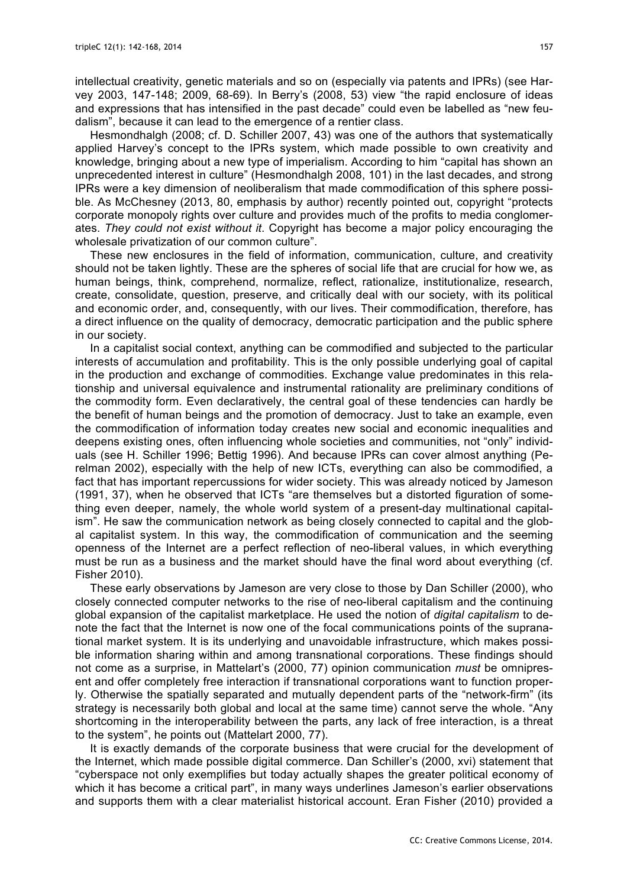intellectual creativity, genetic materials and so on (especially via patents and IPRs) (see Harvey 2003, 147-148; 2009, 68-69). In Berry's (2008, 53) view "the rapid enclosure of ideas and expressions that has intensified in the past decade" could even be labelled as "new feudalism", because it can lead to the emergence of a rentier class.

Hesmondhalgh (2008; cf. D. Schiller 2007, 43) was one of the authors that systematically applied Harvey's concept to the IPRs system, which made possible to own creativity and knowledge, bringing about a new type of imperialism. According to him "capital has shown an unprecedented interest in culture" (Hesmondhalgh 2008, 101) in the last decades, and strong IPRs were a key dimension of neoliberalism that made commodification of this sphere possible. As McChesney (2013, 80, emphasis by author) recently pointed out, copyright "protects corporate monopoly rights over culture and provides much of the profits to media conglomerates. *They could not exist without it*. Copyright has become a major policy encouraging the wholesale privatization of our common culture".

These new enclosures in the field of information, communication, culture, and creativity should not be taken lightly. These are the spheres of social life that are crucial for how we, as human beings, think, comprehend, normalize, reflect, rationalize, institutionalize, research, create, consolidate, question, preserve, and critically deal with our society, with its political and economic order, and, consequently, with our lives. Their commodification, therefore, has a direct influence on the quality of democracy, democratic participation and the public sphere in our society.

In a capitalist social context, anything can be commodified and subjected to the particular interests of accumulation and profitability. This is the only possible underlying goal of capital in the production and exchange of commodities. Exchange value predominates in this relationship and universal equivalence and instrumental rationality are preliminary conditions of the commodity form. Even declaratively, the central goal of these tendencies can hardly be the benefit of human beings and the promotion of democracy. Just to take an example, even the commodification of information today creates new social and economic inequalities and deepens existing ones, often influencing whole societies and communities, not "only" individuals (see H. Schiller 1996; Bettig 1996). And because IPRs can cover almost anything (Perelman 2002), especially with the help of new ICTs, everything can also be commodified, a fact that has important repercussions for wider society. This was already noticed by Jameson (1991, 37), when he observed that ICTs "are themselves but a distorted figuration of something even deeper, namely, the whole world system of a present-day multinational capitalism". He saw the communication network as being closely connected to capital and the global capitalist system. In this way, the commodification of communication and the seeming openness of the Internet are a perfect reflection of neo-liberal values, in which everything must be run as a business and the market should have the final word about everything (cf. Fisher 2010).

These early observations by Jameson are very close to those by Dan Schiller (2000), who closely connected computer networks to the rise of neo-liberal capitalism and the continuing global expansion of the capitalist marketplace. He used the notion of *digital capitalism* to denote the fact that the Internet is now one of the focal communications points of the supranational market system. It is its underlying and unavoidable infrastructure, which makes possible information sharing within and among transnational corporations. These findings should not come as a surprise, in Mattelart's (2000, 77) opinion communication *must* be omnipresent and offer completely free interaction if transnational corporations want to function properly. Otherwise the spatially separated and mutually dependent parts of the "network-firm" (its strategy is necessarily both global and local at the same time) cannot serve the whole. "Any shortcoming in the interoperability between the parts, any lack of free interaction, is a threat to the system", he points out (Mattelart 2000, 77).

It is exactly demands of the corporate business that were crucial for the development of the Internet, which made possible digital commerce. Dan Schiller's (2000, xvi) statement that "cyberspace not only exemplifies but today actually shapes the greater political economy of which it has become a critical part", in many ways underlines Jameson's earlier observations and supports them with a clear materialist historical account. Eran Fisher (2010) provided a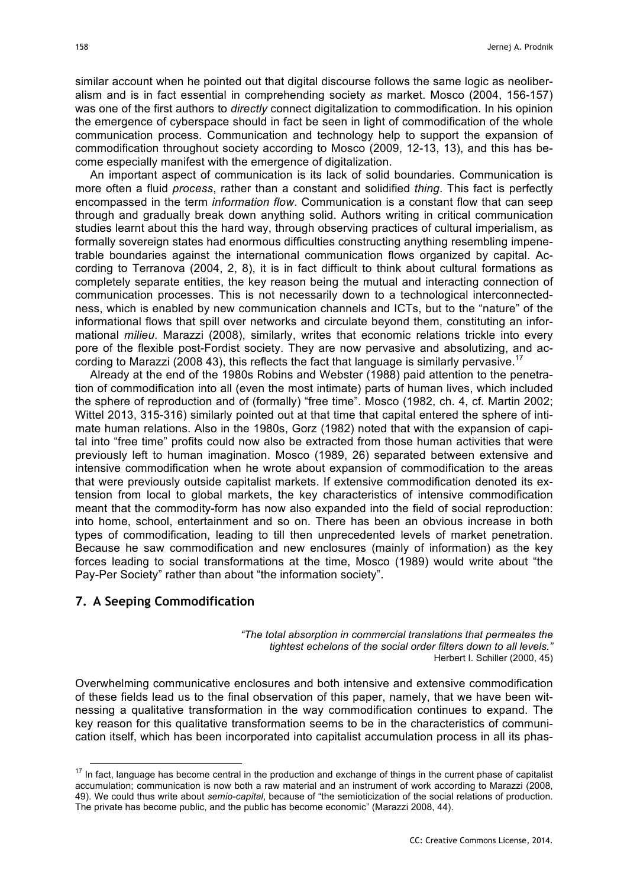similar account when he pointed out that digital discourse follows the same logic as neoliberalism and is in fact essential in comprehending society *as* market. Mosco (2004, 156-157) was one of the first authors to *directly* connect digitalization to commodification. In his opinion the emergence of cyberspace should in fact be seen in light of commodification of the whole communication process. Communication and technology help to support the expansion of commodification throughout society according to Mosco (2009, 12-13, 13), and this has become especially manifest with the emergence of digitalization.

An important aspect of communication is its lack of solid boundaries. Communication is more often a fluid *process*, rather than a constant and solidified *thing*. This fact is perfectly encompassed in the term *information flow*. Communication is a constant flow that can seep through and gradually break down anything solid. Authors writing in critical communication studies learnt about this the hard way, through observing practices of cultural imperialism, as formally sovereign states had enormous difficulties constructing anything resembling impenetrable boundaries against the international communication flows organized by capital. According to Terranova (2004, 2, 8), it is in fact difficult to think about cultural formations as completely separate entities, the key reason being the mutual and interacting connection of communication processes. This is not necessarily down to a technological interconnectedness, which is enabled by new communication channels and ICTs, but to the "nature" of the informational flows that spill over networks and circulate beyond them, constituting an informational *milieu*. Marazzi (2008), similarly, writes that economic relations trickle into every pore of the flexible post-Fordist society. They are now pervasive and absolutizing, and according to Marazzi (2008 43), this reflects the fact that language is similarly pervasive.<sup>17</sup>

Already at the end of the 1980s Robins and Webster (1988) paid attention to the penetration of commodification into all (even the most intimate) parts of human lives, which included the sphere of reproduction and of (formally) "free time". Mosco (1982, ch. 4, cf. Martin 2002; Wittel 2013, 315-316) similarly pointed out at that time that capital entered the sphere of intimate human relations. Also in the 1980s, Gorz (1982) noted that with the expansion of capital into "free time" profits could now also be extracted from those human activities that were previously left to human imagination. Mosco (1989, 26) separated between extensive and intensive commodification when he wrote about expansion of commodification to the areas that were previously outside capitalist markets. If extensive commodification denoted its extension from local to global markets, the key characteristics of intensive commodification meant that the commodity-form has now also expanded into the field of social reproduction: into home, school, entertainment and so on. There has been an obvious increase in both types of commodification, leading to till then unprecedented levels of market penetration. Because he saw commodification and new enclosures (mainly of information) as the key forces leading to social transformations at the time, Mosco (1989) would write about "the Pay-Per Society" rather than about "the information society".

#### **7. A Seeping Commodification**

*"The total absorption in commercial translations that permeates the tightest echelons of the social order filters down to all levels."* Herbert I. Schiller (2000, 45)

Overwhelming communicative enclosures and both intensive and extensive commodification of these fields lead us to the final observation of this paper, namely, that we have been witnessing a qualitative transformation in the way commodification continues to expand. The key reason for this qualitative transformation seems to be in the characteristics of communication itself, which has been incorporated into capitalist accumulation process in all its phas-

<sup>&</sup>lt;sup>17</sup> In fact, language has become central in the production and exchange of things in the current phase of capitalist accumulation; communication is now both a raw material and an instrument of work according to Marazzi (2008, 49). We could thus write about *semio-capital*, because of "the semioticization of the social relations of production. The private has become public, and the public has become economic" (Marazzi 2008, 44).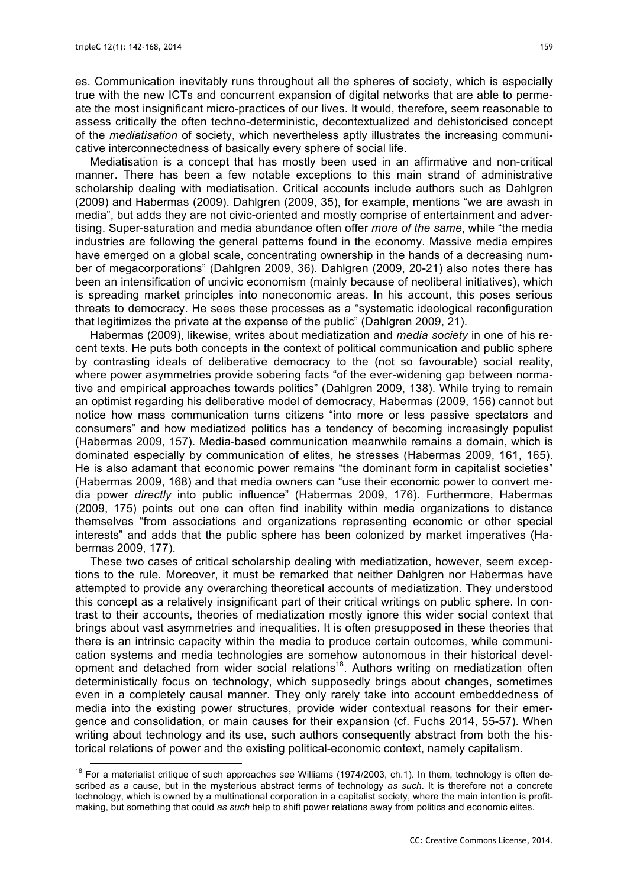es. Communication inevitably runs throughout all the spheres of society, which is especially

true with the new ICTs and concurrent expansion of digital networks that are able to permeate the most insignificant micro-practices of our lives. It would, therefore, seem reasonable to assess critically the often techno-deterministic, decontextualized and dehistoricised concept of the *mediatisation* of society, which nevertheless aptly illustrates the increasing communicative interconnectedness of basically every sphere of social life.

Mediatisation is a concept that has mostly been used in an affirmative and non-critical manner. There has been a few notable exceptions to this main strand of administrative scholarship dealing with mediatisation. Critical accounts include authors such as Dahlgren (2009) and Habermas (2009). Dahlgren (2009, 35), for example, mentions "we are awash in media", but adds they are not civic-oriented and mostly comprise of entertainment and advertising. Super-saturation and media abundance often offer *more of the same*, while "the media industries are following the general patterns found in the economy. Massive media empires have emerged on a global scale, concentrating ownership in the hands of a decreasing number of megacorporations" (Dahlgren 2009, 36). Dahlgren (2009, 20-21) also notes there has been an intensification of uncivic economism (mainly because of neoliberal initiatives), which is spreading market principles into noneconomic areas. In his account, this poses serious threats to democracy. He sees these processes as a "systematic ideological reconfiguration that legitimizes the private at the expense of the public" (Dahlgren 2009, 21).

Habermas (2009), likewise, writes about mediatization and *media society* in one of his recent texts. He puts both concepts in the context of political communication and public sphere by contrasting ideals of deliberative democracy to the (not so favourable) social reality, where power asymmetries provide sobering facts "of the ever-widening gap between normative and empirical approaches towards politics" (Dahlgren 2009, 138). While trying to remain an optimist regarding his deliberative model of democracy, Habermas (2009, 156) cannot but notice how mass communication turns citizens "into more or less passive spectators and consumers" and how mediatized politics has a tendency of becoming increasingly populist (Habermas 2009, 157). Media-based communication meanwhile remains a domain, which is dominated especially by communication of elites, he stresses (Habermas 2009, 161, 165). He is also adamant that economic power remains "the dominant form in capitalist societies" (Habermas 2009, 168) and that media owners can "use their economic power to convert media power *directly* into public influence" (Habermas 2009, 176). Furthermore, Habermas (2009, 175) points out one can often find inability within media organizations to distance themselves "from associations and organizations representing economic or other special interests" and adds that the public sphere has been colonized by market imperatives (Habermas 2009, 177).

These two cases of critical scholarship dealing with mediatization, however, seem exceptions to the rule. Moreover, it must be remarked that neither Dahlgren nor Habermas have attempted to provide any overarching theoretical accounts of mediatization. They understood this concept as a relatively insignificant part of their critical writings on public sphere. In contrast to their accounts, theories of mediatization mostly ignore this wider social context that brings about vast asymmetries and inequalities. It is often presupposed in these theories that there is an intrinsic capacity within the media to produce certain outcomes, while communication systems and media technologies are somehow autonomous in their historical development and detached from wider social relations<sup>18</sup>. Authors writing on mediatization often deterministically focus on technology, which supposedly brings about changes, sometimes even in a completely causal manner. They only rarely take into account embeddedness of media into the existing power structures, provide wider contextual reasons for their emergence and consolidation, or main causes for their expansion (cf. Fuchs 2014, 55-57). When writing about technology and its use, such authors consequently abstract from both the historical relations of power and the existing political-economic context, namely capitalism.

 $18$  For a materialist critique of such approaches see Williams (1974/2003, ch.1). In them, technology is often described as a cause, but in the mysterious abstract terms of technology *as such*. It is therefore not a concrete technology, which is owned by a multinational corporation in a capitalist society, where the main intention is profitmaking, but something that could *as such* help to shift power relations away from politics and economic elites.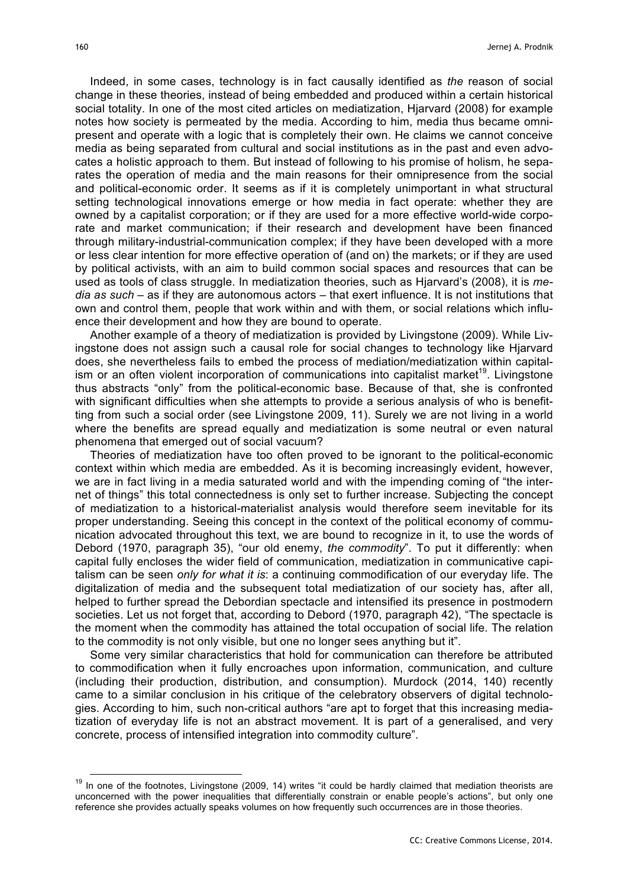Indeed, in some cases, technology is in fact causally identified as *the* reason of social change in these theories, instead of being embedded and produced within a certain historical social totality. In one of the most cited articles on mediatization, Hjarvard (2008) for example notes how society is permeated by the media. According to him, media thus became omnipresent and operate with a logic that is completely their own. He claims we cannot conceive media as being separated from cultural and social institutions as in the past and even advocates a holistic approach to them. But instead of following to his promise of holism, he separates the operation of media and the main reasons for their omnipresence from the social and political-economic order. It seems as if it is completely unimportant in what structural setting technological innovations emerge or how media in fact operate: whether they are owned by a capitalist corporation; or if they are used for a more effective world-wide corporate and market communication; if their research and development have been financed through military-industrial-communication complex; if they have been developed with a more or less clear intention for more effective operation of (and on) the markets; or if they are used by political activists, with an aim to build common social spaces and resources that can be used as tools of class struggle. In mediatization theories, such as Hjarvard's (2008), it is *media as such* – as if they are autonomous actors – that exert influence. It is not institutions that own and control them, people that work within and with them, or social relations which influence their development and how they are bound to operate.

Another example of a theory of mediatization is provided by Livingstone (2009). While Livingstone does not assign such a causal role for social changes to technology like Hjarvard does, she nevertheless fails to embed the process of mediation/mediatization within capitalism or an often violent incorporation of communications into capitalist market<sup>19</sup>. Livingstone thus abstracts "only" from the political-economic base. Because of that, she is confronted with significant difficulties when she attempts to provide a serious analysis of who is benefitting from such a social order (see Livingstone 2009, 11). Surely we are not living in a world where the benefits are spread equally and mediatization is some neutral or even natural phenomena that emerged out of social vacuum?

Theories of mediatization have too often proved to be ignorant to the political-economic context within which media are embedded. As it is becoming increasingly evident, however, we are in fact living in a media saturated world and with the impending coming of "the internet of things" this total connectedness is only set to further increase. Subjecting the concept of mediatization to a historical-materialist analysis would therefore seem inevitable for its proper understanding. Seeing this concept in the context of the political economy of communication advocated throughout this text, we are bound to recognize in it, to use the words of Debord (1970, paragraph 35), "our old enemy, *the commodity*". To put it differently: when capital fully encloses the wider field of communication, mediatization in communicative capitalism can be seen *only for what it is*: a continuing commodification of our everyday life. The digitalization of media and the subsequent total mediatization of our society has, after all, helped to further spread the Debordian spectacle and intensified its presence in postmodern societies. Let us not forget that, according to Debord (1970, paragraph 42), "The spectacle is the moment when the commodity has attained the total occupation of social life. The relation to the commodity is not only visible, but one no longer sees anything but it".

Some very similar characteristics that hold for communication can therefore be attributed to commodification when it fully encroaches upon information, communication, and culture (including their production, distribution, and consumption). Murdock (2014, 140) recently came to a similar conclusion in his critique of the celebratory observers of digital technologies. According to him, such non-critical authors "are apt to forget that this increasing mediatization of everyday life is not an abstract movement. It is part of a generalised, and very concrete, process of intensified integration into commodity culture".

 $19$  In one of the footnotes, Livingstone (2009, 14) writes "it could be hardly claimed that mediation theorists are unconcerned with the power inequalities that differentially constrain or enable people's actions", but only one reference she provides actually speaks volumes on how frequently such occurrences are in those theories.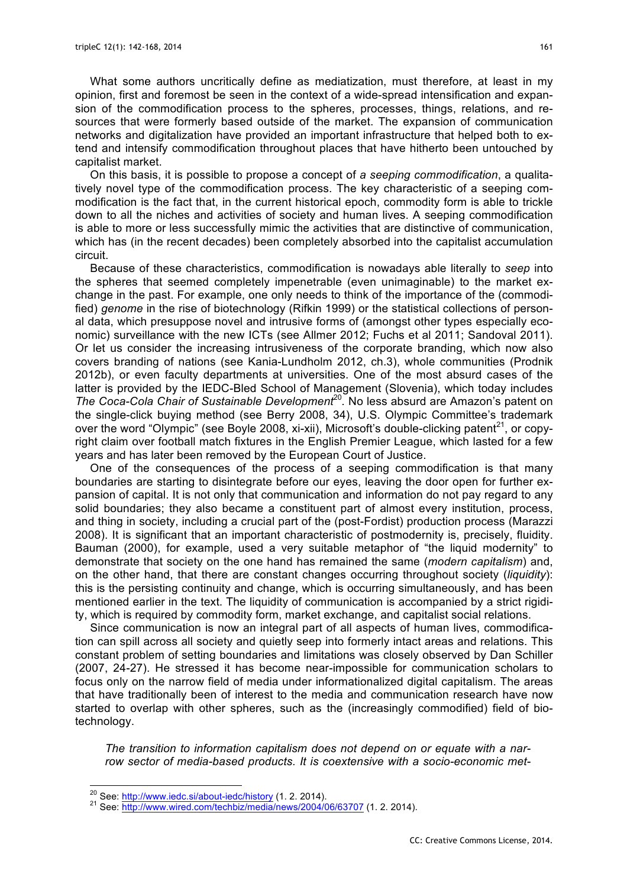What some authors uncritically define as mediatization, must therefore, at least in my opinion, first and foremost be seen in the context of a wide-spread intensification and expansion of the commodification process to the spheres, processes, things, relations, and resources that were formerly based outside of the market. The expansion of communication networks and digitalization have provided an important infrastructure that helped both to extend and intensify commodification throughout places that have hitherto been untouched by capitalist market.

On this basis, it is possible to propose a concept of *a seeping commodification*, a qualitatively novel type of the commodification process. The key characteristic of a seeping commodification is the fact that, in the current historical epoch, commodity form is able to trickle down to all the niches and activities of society and human lives. A seeping commodification is able to more or less successfully mimic the activities that are distinctive of communication, which has (in the recent decades) been completely absorbed into the capitalist accumulation circuit.

Because of these characteristics, commodification is nowadays able literally to *seep* into the spheres that seemed completely impenetrable (even unimaginable) to the market exchange in the past. For example, one only needs to think of the importance of the (commodified) *genome* in the rise of biotechnology (Rifkin 1999) or the statistical collections of personal data, which presuppose novel and intrusive forms of (amongst other types especially economic) surveillance with the new ICTs (see Allmer 2012; Fuchs et al 2011; Sandoval 2011). Or let us consider the increasing intrusiveness of the corporate branding, which now also covers branding of nations (see Kania-Lundholm 2012, ch.3), whole communities (Prodnik 2012b), or even faculty departments at universities. One of the most absurd cases of the latter is provided by the IEDC-Bled School of Management (Slovenia), which today includes *The Coca-Cola Chair of Sustainable Development<sup>20</sup>.* No less absurd are Amazon's patent on the single-click buying method (see Berry 2008, 34), U.S. Olympic Committee's trademark over the word "Olympic" (see Boyle 2008, xi-xii), Microsoft's double-clicking patent<sup>21</sup>, or copyright claim over football match fixtures in the English Premier League, which lasted for a few years and has later been removed by the European Court of Justice.

One of the consequences of the process of a seeping commodification is that many boundaries are starting to disintegrate before our eyes, leaving the door open for further expansion of capital. It is not only that communication and information do not pay regard to any solid boundaries; they also became a constituent part of almost every institution, process, and thing in society, including a crucial part of the (post-Fordist) production process (Marazzi 2008). It is significant that an important characteristic of postmodernity is, precisely, fluidity. Bauman (2000), for example, used a very suitable metaphor of "the liquid modernity" to demonstrate that society on the one hand has remained the same (*modern capitalism*) and, on the other hand, that there are constant changes occurring throughout society (*liquidity*): this is the persisting continuity and change, which is occurring simultaneously, and has been mentioned earlier in the text. The liquidity of communication is accompanied by a strict rigidity, which is required by commodity form, market exchange, and capitalist social relations.

Since communication is now an integral part of all aspects of human lives, commodification can spill across all society and quietly seep into formerly intact areas and relations. This constant problem of setting boundaries and limitations was closely observed by Dan Schiller (2007, 24-27). He stressed it has become near-impossible for communication scholars to focus only on the narrow field of media under informationalized digital capitalism. The areas that have traditionally been of interest to the media and communication research have now started to overlap with other spheres, such as the (increasingly commodified) field of biotechnology.

*The transition to information capitalism does not depend on or equate with a narrow sector of media-based products. It is coextensive with a socio-economic met-*

<sup>&</sup>lt;sup>20</sup> See: http://www.iedc.si/about-iedc/history (1. 2. 2014).<br><sup>21</sup> See: http://www.wired.com/techbiz/media/news/2004/06/63707 (1. 2. 2014).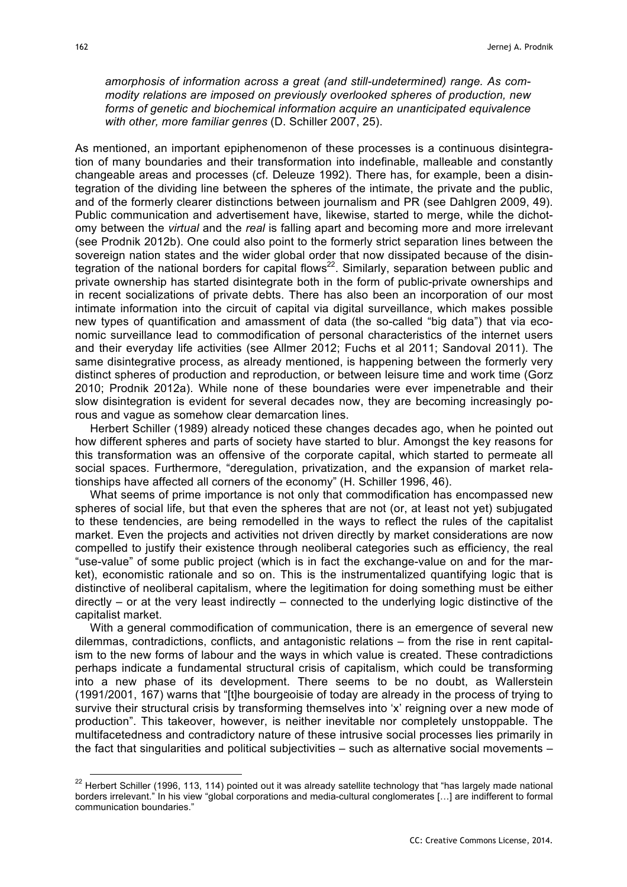*amorphosis of information across a great (and still-undetermined) range. As commodity relations are imposed on previously overlooked spheres of production, new forms of genetic and biochemical information acquire an unanticipated equivalence with other, more familiar genres* (D. Schiller 2007, 25).

As mentioned, an important epiphenomenon of these processes is a continuous disintegration of many boundaries and their transformation into indefinable, malleable and constantly changeable areas and processes (cf. Deleuze 1992). There has, for example, been a disintegration of the dividing line between the spheres of the intimate, the private and the public, and of the formerly clearer distinctions between journalism and PR (see Dahlgren 2009, 49). Public communication and advertisement have, likewise, started to merge, while the dichotomy between the *virtual* and the *real* is falling apart and becoming more and more irrelevant (see Prodnik 2012b). One could also point to the formerly strict separation lines between the sovereign nation states and the wider global order that now dissipated because of the disintegration of the national borders for capital flows<sup>22</sup>. Similarly, separation between public and private ownership has started disintegrate both in the form of public-private ownerships and in recent socializations of private debts. There has also been an incorporation of our most intimate information into the circuit of capital via digital surveillance, which makes possible new types of quantification and amassment of data (the so-called "big data") that via economic surveillance lead to commodification of personal characteristics of the internet users and their everyday life activities (see Allmer 2012; Fuchs et al 2011; Sandoval 2011). The same disintegrative process, as already mentioned, is happening between the formerly very distinct spheres of production and reproduction, or between leisure time and work time (Gorz 2010; Prodnik 2012a). While none of these boundaries were ever impenetrable and their slow disintegration is evident for several decades now, they are becoming increasingly porous and vague as somehow clear demarcation lines.

Herbert Schiller (1989) already noticed these changes decades ago, when he pointed out how different spheres and parts of society have started to blur. Amongst the key reasons for this transformation was an offensive of the corporate capital, which started to permeate all social spaces. Furthermore, "deregulation, privatization, and the expansion of market relationships have affected all corners of the economy" (H. Schiller 1996, 46).

What seems of prime importance is not only that commodification has encompassed new spheres of social life, but that even the spheres that are not (or, at least not yet) subjugated to these tendencies, are being remodelled in the ways to reflect the rules of the capitalist market. Even the projects and activities not driven directly by market considerations are now compelled to justify their existence through neoliberal categories such as efficiency, the real "use-value" of some public project (which is in fact the exchange-value on and for the market), economistic rationale and so on. This is the instrumentalized quantifying logic that is distinctive of neoliberal capitalism, where the legitimation for doing something must be either directly – or at the very least indirectly – connected to the underlying logic distinctive of the capitalist market.

With a general commodification of communication, there is an emergence of several new dilemmas, contradictions, conflicts, and antagonistic relations – from the rise in rent capitalism to the new forms of labour and the ways in which value is created. These contradictions perhaps indicate a fundamental structural crisis of capitalism, which could be transforming into a new phase of its development. There seems to be no doubt, as Wallerstein (1991/2001, 167) warns that "[t]he bourgeoisie of today are already in the process of trying to survive their structural crisis by transforming themselves into 'x' reigning over a new mode of production". This takeover, however, is neither inevitable nor completely unstoppable. The multifacetedness and contradictory nature of these intrusive social processes lies primarily in the fact that singularities and political subjectivities – such as alternative social movements –

<sup>&</sup>lt;sup>22</sup> Herbert Schiller (1996, 113, 114) pointed out it was already satellite technology that "has largely made national borders irrelevant." In his view "global corporations and media-cultural conglomerates […] are indifferent to formal communication boundaries."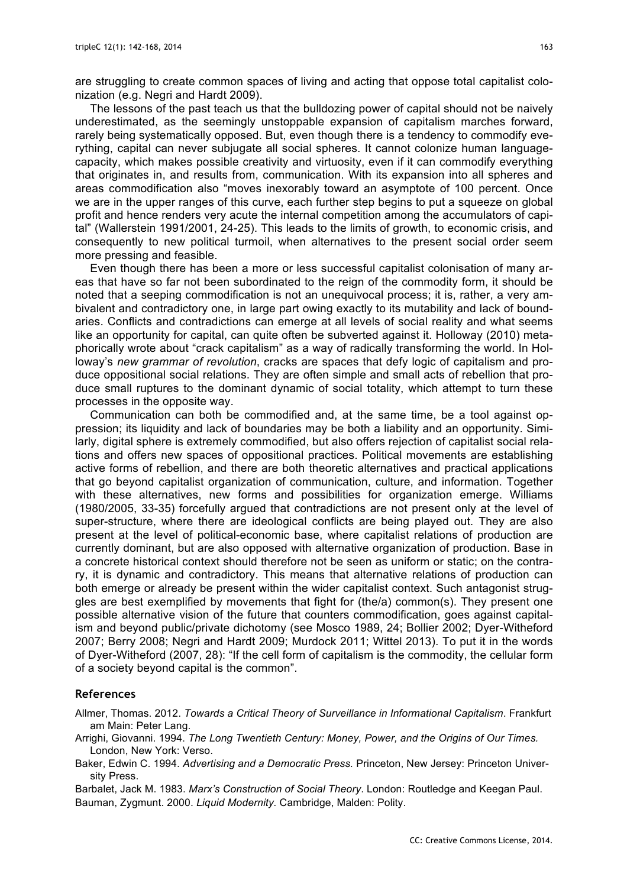are struggling to create common spaces of living and acting that oppose total capitalist colonization (e.g. Negri and Hardt 2009).

The lessons of the past teach us that the bulldozing power of capital should not be naively underestimated, as the seemingly unstoppable expansion of capitalism marches forward, rarely being systematically opposed. But, even though there is a tendency to commodify everything, capital can never subjugate all social spheres. It cannot colonize human languagecapacity, which makes possible creativity and virtuosity, even if it can commodify everything that originates in, and results from, communication. With its expansion into all spheres and areas commodification also "moves inexorably toward an asymptote of 100 percent. Once we are in the upper ranges of this curve, each further step begins to put a squeeze on global profit and hence renders very acute the internal competition among the accumulators of capital" (Wallerstein 1991/2001, 24-25). This leads to the limits of growth, to economic crisis, and consequently to new political turmoil, when alternatives to the present social order seem more pressing and feasible.

Even though there has been a more or less successful capitalist colonisation of many areas that have so far not been subordinated to the reign of the commodity form, it should be noted that a seeping commodification is not an unequivocal process; it is, rather, a very ambivalent and contradictory one, in large part owing exactly to its mutability and lack of boundaries. Conflicts and contradictions can emerge at all levels of social reality and what seems like an opportunity for capital, can quite often be subverted against it. Holloway (2010) metaphorically wrote about "crack capitalism" as a way of radically transforming the world. In Holloway's *new grammar of revolution*, cracks are spaces that defy logic of capitalism and produce oppositional social relations. They are often simple and small acts of rebellion that produce small ruptures to the dominant dynamic of social totality, which attempt to turn these processes in the opposite way.

Communication can both be commodified and, at the same time, be a tool against oppression; its liquidity and lack of boundaries may be both a liability and an opportunity. Similarly, digital sphere is extremely commodified, but also offers rejection of capitalist social relations and offers new spaces of oppositional practices. Political movements are establishing active forms of rebellion, and there are both theoretic alternatives and practical applications that go beyond capitalist organization of communication, culture, and information. Together with these alternatives, new forms and possibilities for organization emerge. Williams (1980/2005, 33-35) forcefully argued that contradictions are not present only at the level of super-structure, where there are ideological conflicts are being played out. They are also present at the level of political-economic base, where capitalist relations of production are currently dominant, but are also opposed with alternative organization of production. Base in a concrete historical context should therefore not be seen as uniform or static; on the contrary, it is dynamic and contradictory. This means that alternative relations of production can both emerge or already be present within the wider capitalist context. Such antagonist struggles are best exemplified by movements that fight for (the/a) common(s). They present one possible alternative vision of the future that counters commodification, goes against capitalism and beyond public/private dichotomy (see Mosco 1989, 24; Bollier 2002; Dyer-Witheford 2007; Berry 2008; Negri and Hardt 2009; Murdock 2011; Wittel 2013). To put it in the words of Dyer-Witheford (2007, 28): "If the cell form of capitalism is the commodity, the cellular form of a society beyond capital is the common".

#### **References**

Allmer, Thomas. 2012. *Towards a Critical Theory of Surveillance in Informational Capitalism*. Frankfurt am Main: Peter Lang.

Arrighi, Giovanni. 1994. *The Long Twentieth Century: Money, Power, and the Origins of Our Times.*  London, New York: Verso.

Baker, Edwin C. 1994. *Advertising and a Democratic Press.* Princeton, New Jersey: Princeton University Press.

Barbalet, Jack M. 1983. *Marx's Construction of Social Theory*. London: Routledge and Keegan Paul. Bauman, Zygmunt. 2000. *Liquid Modernity.* Cambridge, Malden: Polity.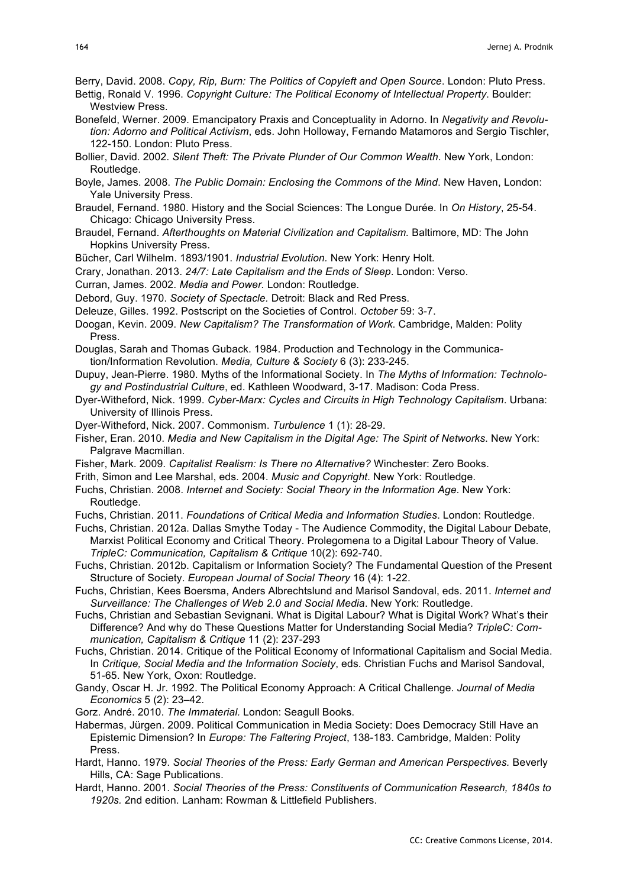Berry, David. 2008. *Copy, Rip, Burn: The Politics of Copyleft and Open Source*. London: Pluto Press.

- Bettig, Ronald V. 1996. *Copyright Culture: The Political Economy of Intellectual Property*. Boulder: Westview Press.
- Bonefeld, Werner. 2009. Emancipatory Praxis and Conceptuality in Adorno. In *Negativity and Revolution: Adorno and Political Activism*, eds. John Holloway, Fernando Matamoros and Sergio Tischler, 122-150. London: Pluto Press.
- Bollier, David. 2002. *Silent Theft: The Private Plunder of Our Common Wealth*. New York, London: Routledge.
- Boyle, James. 2008. *The Public Domain: Enclosing the Commons of the Mind*. New Haven, London: Yale University Press.
- Braudel, Fernand. 1980. History and the Social Sciences: The Longue Durée. In *On History*, 25-54. Chicago: Chicago University Press.
- Braudel, Fernand. *Afterthoughts on Material Civilization and Capitalism.* Baltimore, MD: The John Hopkins University Press.
- Bücher, Carl Wilhelm. 1893/1901. *Industrial Evolution.* New York: Henry Holt.
- Crary, Jonathan. 2013. *24/7: Late Capitalism and the Ends of Sleep*. London: Verso.
- Curran, James. 2002. *Media and Power.* London: Routledge.
- Debord, Guy. 1970. *Society of Spectacle.* Detroit: Black and Red Press.
- Deleuze, Gilles. 1992. Postscript on the Societies of Control. *October* 59: 3-7.
- Doogan, Kevin. 2009. *New Capitalism? The Transformation of Work*. Cambridge, Malden: Polity Press.
- Douglas, Sarah and Thomas Guback. 1984. Production and Technology in the Communication/Information Revolution. *Media, Culture & Society* 6 (3): 233-245.
- Dupuy, Jean-Pierre. 1980. Myths of the Informational Society. In *The Myths of Information: Technology and Postindustrial Culture*, ed. Kathleen Woodward, 3-17. Madison: Coda Press.
- Dyer-Witheford, Nick. 1999. *Cyber-Marx: Cycles and Circuits in High Technology Capitalism*. Urbana: University of Illinois Press.
- Dyer-Witheford, Nick. 2007. Commonism. *Turbulence* 1 (1): 28-29.
- Fisher, Eran. 2010. *Media and New Capitalism in the Digital Age: The Spirit of Networks*. New York: Palgrave Macmillan.
- Fisher, Mark. 2009. *Capitalist Realism: Is There no Alternative?* Winchester: Zero Books.
- Frith, Simon and Lee Marshal, eds. 2004. *Music and Copyright*. New York: Routledge.
- Fuchs, Christian. 2008. *Internet and Society: Social Theory in the Information Age*. New York: Routledge.
- Fuchs, Christian. 2011. *Foundations of Critical Media and Information Studies*. London: Routledge.
- Fuchs, Christian. 2012a. Dallas Smythe Today The Audience Commodity, the Digital Labour Debate, Marxist Political Economy and Critical Theory. Prolegomena to a Digital Labour Theory of Value. *TripleC: Communication, Capitalism & Critique* 10(2): 692-740.
- Fuchs, Christian. 2012b. Capitalism or Information Society? The Fundamental Question of the Present Structure of Society. *European Journal of Social Theory* 16 (4): 1-22.
- Fuchs, Christian, Kees Boersma, Anders Albrechtslund and Marisol Sandoval, eds. 2011. *Internet and Surveillance: The Challenges of Web 2.0 and Social Media*. New York: Routledge.
- Fuchs, Christian and Sebastian Sevignani. What is Digital Labour? What is Digital Work? What's their Difference? And why do These Questions Matter for Understanding Social Media? *TripleC: Communication, Capitalism & Critique* 11 (2): 237-293
- Fuchs, Christian. 2014. Critique of the Political Economy of Informational Capitalism and Social Media. In *Critique, Social Media and the Information Society*, eds. Christian Fuchs and Marisol Sandoval, 51-65. New York, Oxon: Routledge.
- Gandy, Oscar H. Jr. 1992. The Political Economy Approach: A Critical Challenge. *Journal of Media Economics* 5 (2): 23–42.
- Gorz. André. 2010. *The Immaterial.* London: Seagull Books.
- Habermas, Jürgen. 2009. Political Communication in Media Society: Does Democracy Still Have an Epistemic Dimension? In *Europe: The Faltering Project*, 138-183. Cambridge, Malden: Polity Press.
- Hardt, Hanno. 1979. *Social Theories of the Press: Early German and American Perspectives.* Beverly Hills, CA: Sage Publications.
- Hardt, Hanno. 2001. *Social Theories of the Press: Constituents of Communication Research, 1840s to 1920s.* 2nd edition. Lanham: Rowman & Littlefield Publishers.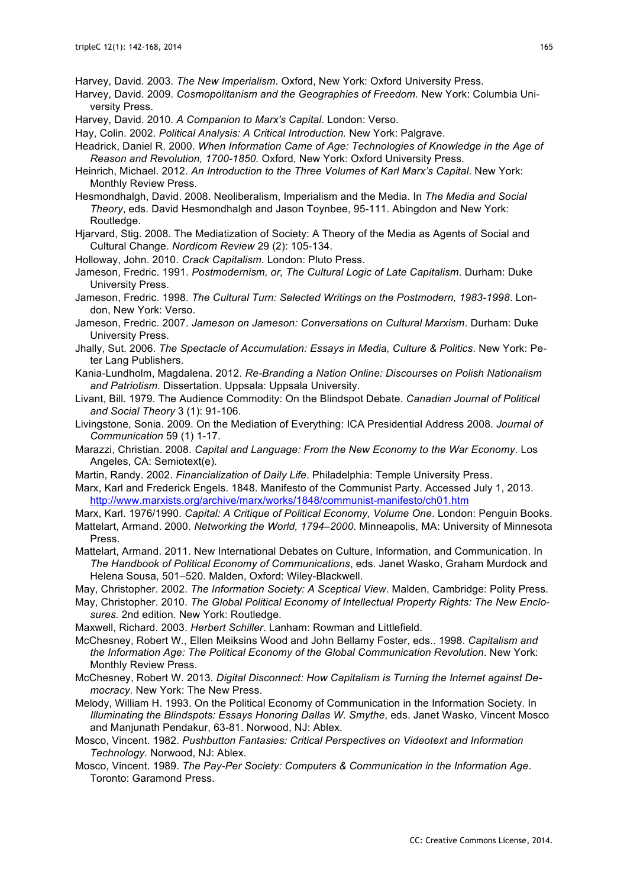Harvey, David. 2003. *The New Imperialism*. Oxford, New York: Oxford University Press.

- Harvey, David. 2009. *Cosmopolitanism and the Geographies of Freedom.* New York: Columbia University Press.
- Harvey, David. 2010. *A Companion to Marx's Capital*. London: Verso.
- Hay, Colin. 2002. *Political Analysis: A Critical Introduction.* New York: Palgrave.
- Headrick, Daniel R. 2000. *When Information Came of Age: Technologies of Knowledge in the Age of Reason and Revolution, 1700-1850.* Oxford, New York: Oxford University Press.
- Heinrich, Michael. 2012. *An Introduction to the Three Volumes of Karl Marx's Capital*. New York: Monthly Review Press.
- Hesmondhalgh, David. 2008. Neoliberalism, Imperialism and the Media. In *The Media and Social Theory*, eds. David Hesmondhalgh and Jason Toynbee, 95-111. Abingdon and New York: Routledge.
- Hjarvard, Stig. 2008. The Mediatization of Society: A Theory of the Media as Agents of Social and Cultural Change. *Nordicom Review* 29 (2): 105-134.
- Holloway, John. 2010. *Crack Capitalism.* London: Pluto Press.
- Jameson, Fredric. 1991. *Postmodernism, or, The Cultural Logic of Late Capitalism*. Durham: Duke University Press.
- Jameson, Fredric. 1998. *The Cultural Turn: Selected Writings on the Postmodern, 1983-1998*. London, New York: Verso.
- Jameson, Fredric. 2007. *Jameson on Jameson: Conversations on Cultural Marxism*. Durham: Duke University Press.
- Jhally, Sut. 2006. *The Spectacle of Accumulation: Essays in Media, Culture & Politics*. New York: Peter Lang Publishers.
- Kania-Lundholm, Magdalena. 2012. *Re-Branding a Nation Online: Discourses on Polish Nationalism and Patriotism*. Dissertation. Uppsala: Uppsala University.
- Livant, Bill. 1979. The Audience Commodity: On the Blindspot Debate. *Canadian Journal of Political and Social Theory* 3 (1): 91-106.
- Livingstone, Sonia. 2009. On the Mediation of Everything: ICA Presidential Address 2008. *Journal of Communication* 59 (1) 1-17.
- Marazzi, Christian. 2008. *Capital and Language: From the New Economy to the War Economy*. Los Angeles, CA: Semiotext(e).
- Martin, Randy. 2002. *Financialization of Daily Life*. Philadelphia: Temple University Press.
- Marx, Karl and Frederick Engels. 1848. Manifesto of the Communist Party. Accessed July 1, 2013. http://www.marxists.org/archive/marx/works/1848/communist-manifesto/ch01.htm
- Marx, Karl. 1976/1990. *Capital: A Critique of Political Economy, Volume One*. London: Penguin Books. Mattelart, Armand. 2000. *Networking the World, 1794–2000*. Minneapolis, MA: University of Minnesota Press.
- Mattelart, Armand. 2011. New International Debates on Culture, Information, and Communication. In *The Handbook of Political Economy of Communications*, eds. Janet Wasko, Graham Murdock and Helena Sousa, 501–520. Malden, Oxford: Wiley-Blackwell.
- May, Christopher. 2002. *The Information Society: A Sceptical View*. Malden, Cambridge: Polity Press.
- May, Christopher. 2010. *The Global Political Economy of Intellectual Property Rights: The New Enclosures.* 2nd edition. New York: Routledge.
- Maxwell, Richard. 2003. *Herbert Schiller*. Lanham: Rowman and Littlefield.
- McChesney, Robert W., Ellen Meiksins Wood and John Bellamy Foster, eds.. 1998. *Capitalism and the Information Age: The Political Economy of the Global Communication Revolution*. New York: Monthly Review Press.
- McChesney, Robert W. 2013. *Digital Disconnect: How Capitalism is Turning the Internet against Democracy*. New York: The New Press.
- Melody, William H. 1993. On the Political Economy of Communication in the Information Society. In *Illuminating the Blindspots: Essays Honoring Dallas W. Smythe*, eds. Janet Wasko, Vincent Mosco and Manjunath Pendakur, 63-81. Norwood, NJ: Ablex.
- Mosco, Vincent. 1982. *Pushbutton Fantasies: Critical Perspectives on Videotext and Information Technology.* Norwood, NJ: Ablex.
- Mosco, Vincent. 1989. *The Pay-Per Society: Computers & Communication in the Information Age*. Toronto: Garamond Press.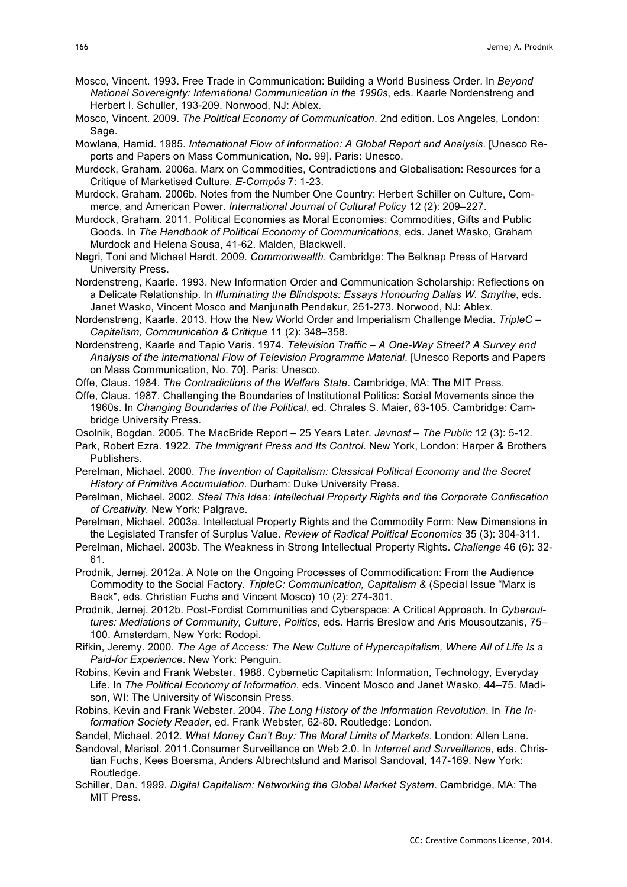- Mosco, Vincent. 1993. Free Trade in Communication: Building a World Business Order. In *Beyond National Sovereignty: International Communication in the 1990s*, eds. Kaarle Nordenstreng and Herbert I. Schuller, 193-209. Norwood, NJ: Ablex.
- Mosco, Vincent. 2009. *The Political Economy of Communication*. 2nd edition. Los Angeles, London: Sage.
- Mowlana, Hamid. 1985. *International Flow of Information: A Global Report and Analysis*. [Unesco Reports and Papers on Mass Communication, No. 99]. Paris: Unesco.
- Murdock, Graham. 2006a. Marx on Commodities, Contradictions and Globalisation: Resources for a Critique of Marketised Culture. *E-Compós* 7: 1-23.
- Murdock, Graham. 2006b. Notes from the Number One Country: Herbert Schiller on Culture, Commerce, and American Power. *International Journal of Cultural Policy* 12 (2): 209–227.
- Murdock, Graham. 2011. Political Economies as Moral Economies: Commodities, Gifts and Public Goods. In *The Handbook of Political Economy of Communications*, eds. Janet Wasko, Graham Murdock and Helena Sousa, 41-62. Malden, Blackwell.
- Negri, Toni and Michael Hardt. 2009. *Commonwealth*. Cambridge: The Belknap Press of Harvard University Press.
- Nordenstreng, Kaarle. 1993. New Information Order and Communication Scholarship: Reflections on a Delicate Relationship. In *Illuminating the Blindspots: Essays Honouring Dallas W. Smythe*, eds. Janet Wasko, Vincent Mosco and Manjunath Pendakur, 251-273. Norwood, NJ: Ablex.
- Nordenstreng, Kaarle. 2013. How the New World Order and Imperialism Challenge Media. *TripleC – Capitalism, Communication & Critique* 11 (2): 348–358.
- Nordenstreng, Kaarle and Tapio Varis. 1974. *Television Traffic – A One-Way Street? A Survey and Analysis of the international Flow of Television Programme Material*. [Unesco Reports and Papers on Mass Communication, No. 70]. Paris: Unesco.

Offe, Claus. 1984. *The Contradictions of the Welfare State*. Cambridge, MA: The MIT Press.

Offe, Claus. 1987. Challenging the Boundaries of Institutional Politics: Social Movements since the 1960s. In *Changing Boundaries of the Political*, ed. Chrales S. Maier, 63-105. Cambridge: Cambridge University Press.

Osolnik, Bogdan. 2005. The MacBride Report – 25 Years Later. *Javnost – The Public* 12 (3): 5-12.

- Park, Robert Ezra. 1922. *The Immigrant Press and Its Control*. New York, London: Harper & Brothers Publishers.
- Perelman, Michael. 2000. *The Invention of Capitalism: Classical Political Economy and the Secret History of Primitive Accumulation*. Durham: Duke University Press.
- Perelman, Michael. 2002. *Steal This Idea: Intellectual Property Rights and the Corporate Confiscation of Creativity.* New York: Palgrave.
- Perelman, Michael. 2003a. Intellectual Property Rights and the Commodity Form: New Dimensions in the Legislated Transfer of Surplus Value. *Review of Radical Political Economics* 35 (3): 304-311.
- Perelman, Michael. 2003b. The Weakness in Strong Intellectual Property Rights. *Challenge* 46 (6): 32- 61.
- Prodnik, Jernej. 2012a. A Note on the Ongoing Processes of Commodification: From the Audience Commodity to the Social Factory. *TripleC: Communication, Capitalism &* (Special Issue "Marx is Back", eds. Christian Fuchs and Vincent Mosco) 10 (2): 274-301.
- Prodnik, Jernej. 2012b. Post-Fordist Communities and Cyberspace: A Critical Approach. In *Cybercultures: Mediations of Community, Culture, Politics*, eds. Harris Breslow and Aris Mousoutzanis, 75– 100. Amsterdam, New York: Rodopi.
- Rifkin, Jeremy. 2000. *The Age of Access: The New Culture of Hypercapitalism, Where All of Life Is a Paid-for Experience*. New York: Penguin.
- Robins, Kevin and Frank Webster. 1988. Cybernetic Capitalism: Information, Technology, Everyday Life. In *The Political Economy of Information*, eds. Vincent Mosco and Janet Wasko, 44–75. Madison, WI: The University of Wisconsin Press.
- Robins, Kevin and Frank Webster. 2004. *The Long History of the Information Revolution*. In *The Information Society Reader*, ed. Frank Webster, 62-80. Routledge: London.
- Sandel, Michael. 2012*. What Money Can't Buy: The Moral Limits of Markets*. London: Allen Lane.
- Sandoval, Marisol. 2011.Consumer Surveillance on Web 2.0. In *Internet and Surveillance*, eds. Christian Fuchs, Kees Boersma, Anders Albrechtslund and Marisol Sandoval, 147-169. New York: Routledge.
- Schiller, Dan. 1999. *Digital Capitalism: Networking the Global Market System*. Cambridge, MA: The MIT Press.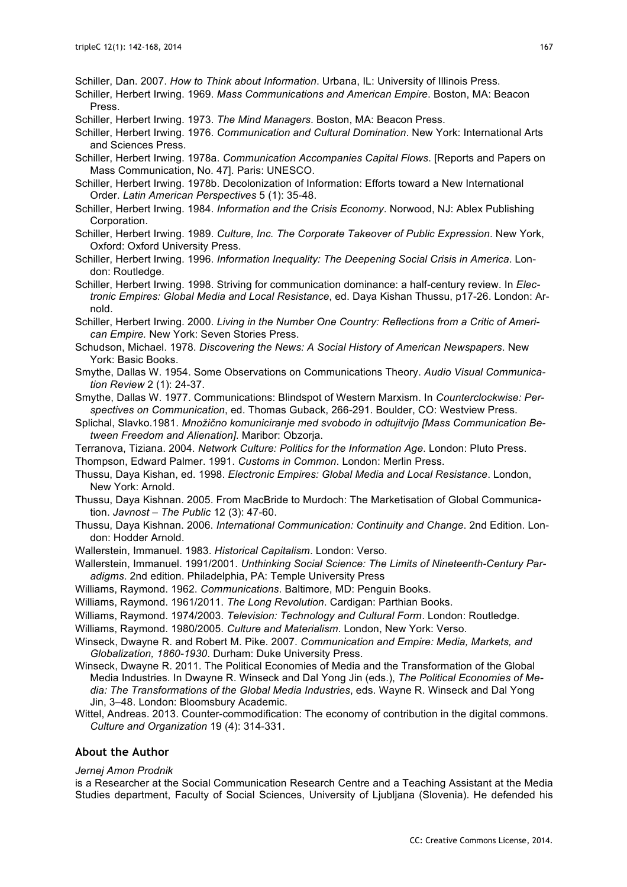Schiller, Dan. 2007. *How to Think about Information*. Urbana, IL: University of Illinois Press.

- Schiller, Herbert Irwing. 1969. *Mass Communications and American Empire*. Boston, MA: Beacon Press.
- Schiller, Herbert Irwing. 1973. *The Mind Managers*. Boston, MA: Beacon Press.
- Schiller, Herbert Irwing. 1976. *Communication and Cultural Domination*. New York: International Arts and Sciences Press.
- Schiller, Herbert Irwing. 1978a. *Communication Accompanies Capital Flows*. [Reports and Papers on Mass Communication, No. 47]. Paris: UNESCO.
- Schiller, Herbert Irwing. 1978b. Decolonization of Information: Efforts toward a New International Order. *Latin American Perspectives* 5 (1): 35-48.
- Schiller, Herbert Irwing. 1984. *Information and the Crisis Economy*. Norwood, NJ: Ablex Publishing Corporation.
- Schiller, Herbert Irwing. 1989. *Culture, Inc. The Corporate Takeover of Public Expression*. New York, Oxford: Oxford University Press.
- Schiller, Herbert Irwing. 1996. *Information Inequality: The Deepening Social Crisis in America*. London: Routledge.
- Schiller, Herbert Irwing. 1998. Striving for communication dominance: a half-century review. In *Electronic Empires: Global Media and Local Resistance*, ed. Daya Kishan Thussu, p17-26. London: Arnold.
- Schiller, Herbert Irwing. 2000. *Living in the Number One Country: Reflections from a Critic of American Empire.* New York: Seven Stories Press.
- Schudson, Michael. 1978. *Discovering the News: A Social History of American Newspapers*. New York: Basic Books.
- Smythe, Dallas W. 1954. Some Observations on Communications Theory. *Audio Visual Communication Review* 2 (1): 24-37.
- Smythe, Dallas W. 1977. Communications: Blindspot of Western Marxism. In *Counterclockwise: Perspectives on Communication*, ed. Thomas Guback, 266-291. Boulder, CO: Westview Press.
- Splichal, Slavko.1981. *Množično komuniciranje med svobodo in odtujitvijo [Mass Communication Between Freedom and Alienation]*. Maribor: Obzorja.
- Terranova, Tiziana. 2004. *Network Culture: Politics for the Information Age*. London: Pluto Press.
- Thompson, Edward Palmer. 1991. *Customs in Common*. London: Merlin Press.
- Thussu, Daya Kishan, ed. 1998. *Electronic Empires: Global Media and Local Resistance*. London, New York: Arnold.
- Thussu, Daya Kishnan. 2005. From MacBride to Murdoch: The Marketisation of Global Communication. *Javnost – The Public* 12 (3): 47-60.
- Thussu, Daya Kishnan. 2006. *International Communication: Continuity and Change*. 2nd Edition. London: Hodder Arnold.
- Wallerstein, Immanuel. 1983. *Historical Capitalism*. London: Verso.
- Wallerstein, Immanuel. 1991/2001. *Unthinking Social Science: The Limits of Nineteenth-Century Paradigms*. 2nd edition. Philadelphia, PA: Temple University Press
- Williams, Raymond. 1962. *Communications*. Baltimore, MD: Penguin Books.
- Williams, Raymond. 1961/2011. *The Long Revolution*. Cardigan: Parthian Books.
- Williams, Raymond. 1974/2003. *Television: Technology and Cultural Form*. London: Routledge.
- Williams, Raymond. 1980/2005. *Culture and Materialism*. London, New York: Verso.
- Winseck, Dwayne R. and Robert M. Pike. 2007. *Communication and Empire: Media, Markets, and Globalization, 1860-1930*. Durham: Duke University Press.
- Winseck, Dwayne R. 2011. The Political Economies of Media and the Transformation of the Global Media Industries. In Dwayne R. Winseck and Dal Yong Jin (eds.), *The Political Economies of Media: The Transformations of the Global Media Industries*, eds. Wayne R. Winseck and Dal Yong Jin, 3–48. London: Bloomsbury Academic.
- Wittel, Andreas. 2013. Counter-commodification: The economy of contribution in the digital commons. *Culture and Organization* 19 (4): 314-331.

#### **About the Author**

#### *Jernej Amon Prodnik*

is a Researcher at the Social Communication Research Centre and a Teaching Assistant at the Media Studies department, Faculty of Social Sciences, University of Ljubljana (Slovenia). He defended his